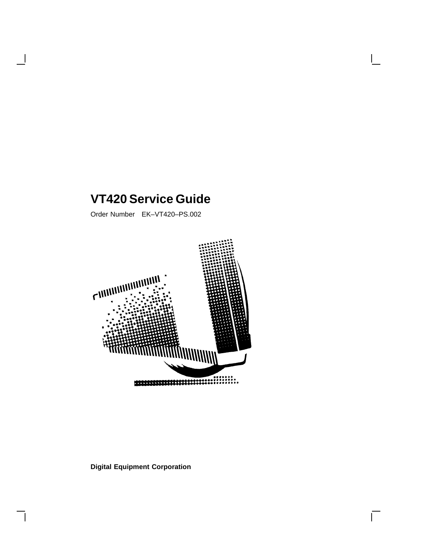## **VT420 Service Guide**

Order Number EK–VT420–PS.002



 $\overline{\Gamma}$ 

### **Digital Equipment Corporation**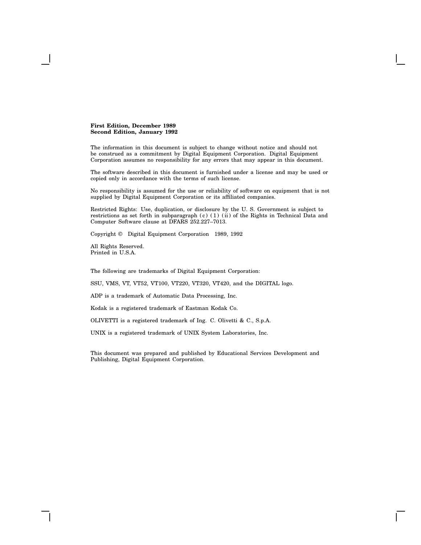#### **First Edition, December 1989 Second Edition, January 1992**

The information in this document is subject to change without notice and should not be construed as a commitment by Digital Equipment Corporation. Digital Equipment Corporation assumes no responsibility for any errors that may appear in this document.

The software described in this document is furnished under a license and may be used or copied only in accordance with the terms of such license.

No responsibility is assumed for the use or reliability of software on equipment that is not supplied by Digital Equipment Corporation or its affiliated companies.

Restricted Rights: Use, duplication, or disclosure by the U. S. Government is subject to restrictions as set forth in subparagraph (c) (1) (ii) of the Rights in Technical Data and Computer Software clause at DFARS 252.227–7013.

Copyright © Digital Equipment Corporation 1989, 1992

All Rights Reserved. Printed in U.S.A.

The following are trademarks of Digital Equipment Corporation:

SSU, VMS, VT, VT52, VT100, VT220, VT320, VT420, and the DIGITAL logo.

ADP is a trademark of Automatic Data Processing, Inc.

Kodak is a registered trademark of Eastman Kodak Co.

OLIVETTI is a registered trademark of Ing. C. Olivetti & C., S.p.A.

UNIX is a registered trademark of UNIX System Laboratories, Inc.

This document was prepared and published by Educational Services Development and Publishing, Digital Equipment Corporation.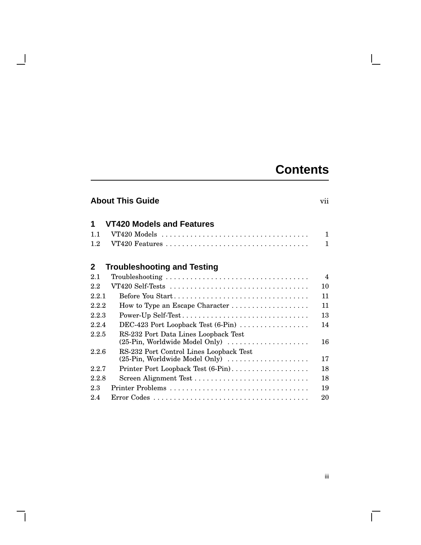## **Contents**

 $\mathbf{L}$ 

## **About This Guide** vii

- 1

| 1            | VT420 Models and Features                                                 |                |
|--------------|---------------------------------------------------------------------------|----------------|
| 1.1          |                                                                           | 1              |
| 1.2          |                                                                           | 1              |
| $\mathbf{2}$ | <b>Troubleshooting and Testing</b>                                        |                |
| 2.1          |                                                                           | $\overline{4}$ |
| 2.2          |                                                                           | 10             |
| 2.2.1        | Before You Start                                                          | 11             |
| 2.2.2        |                                                                           | 11             |
| 2.2.3        | Power-Up Self-Test                                                        | 13             |
| 2.2.4        | DEC-423 Port Loopback Test (6-Pin)                                        | 14             |
| 2.2.5        | RS-232 Port Data Lines Loopback Test<br>(25-Pin, Worldwide Model Only)    | 16             |
| 2.2.6        | RS-232 Port Control Lines Loopback Test<br>(25-Pin, Worldwide Model Only) | 17             |
| 2.2.7        | Printer Port Loopback Test (6-Pin)                                        | 18             |
| 2.2.8        |                                                                           | 18             |
| 2.3          | Printer Problems                                                          | 19             |

2.4 Error Codes . . . . . . . . . . . . . . . . . . . . . . . . . . . . . . . . . . . . . . 20

iii

 $\overline{\Gamma}$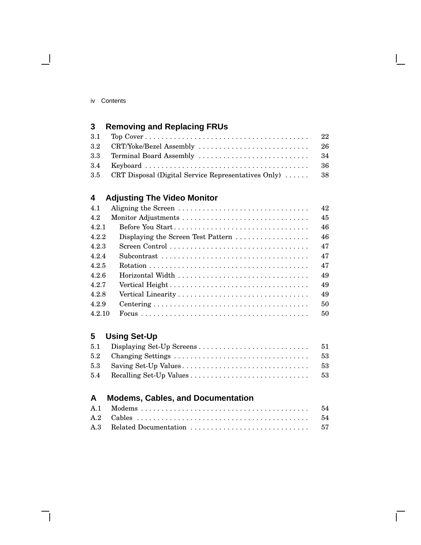| 3.5 CRT Disposal (Digital Service Representatives Only)  38 |  |
|-------------------------------------------------------------|--|

## **4 Adjusting The Video Monitor**

| 4.1    |                                                                         | 42 |
|--------|-------------------------------------------------------------------------|----|
| 4.2    |                                                                         | 45 |
| 4.2.1  | Before You Start                                                        | 46 |
| 4.2.2  | Displaying the Screen Test Pattern $\ldots \ldots \ldots \ldots \ldots$ | 46 |
| 4.2.3  |                                                                         | 47 |
| 4.2.4  |                                                                         | 47 |
| 425    |                                                                         | 47 |
| 426    |                                                                         | 49 |
| 4.2.7  | Vertical Height                                                         | 49 |
| 428    |                                                                         | 49 |
| 4.2.9  |                                                                         | 50 |
| 4.2.10 |                                                                         | 50 |

### **5 Using Set-Up**

### **A Modems, Cables, and Documentation**

Г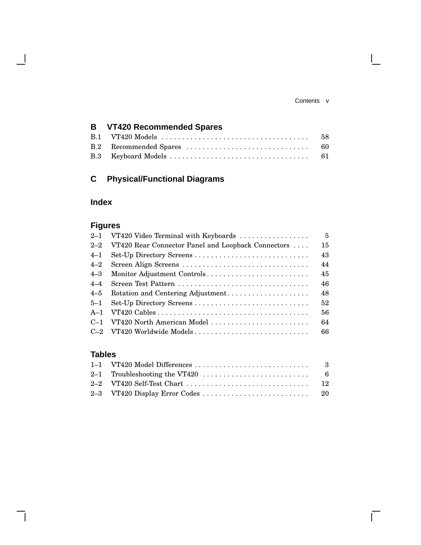#### Contents v

 $\mathbf{L}$ 

### **B VT420 Recommended Spares** B.1 VT420 Models . . . . . . . . . . . . . . . . . . . . . . . . . . . . . . . . . . . . 58 B.2 Recommended Spares . . . . . . . . . . . . . . . . . . . . . . . . . . . . . . 60 B.3 Keyboard Models . . . . . . . . . . . . . . . . . . . . . . . . . . . . . . . . . . 61

### **C Physical/Functional Diagrams**

### **Index**

### **Figures**

| $2 - 1$ | VT420 Video Terminal with Keyboards                | $5^{\circ}$ |
|---------|----------------------------------------------------|-------------|
| $2 - 2$ | VT420 Rear Connector Panel and Loopback Connectors | 15          |
| $4 - 1$ |                                                    | 43          |
| $4 - 2$ | Screen Align Screens                               | 44          |
| $4 - 3$ | Monitor Adjustment Controls                        | 45          |
| $4 - 4$ |                                                    | 46          |
| $4 - 5$ | Rotation and Centering Adjustment                  | 48          |
| $5 - 1$ |                                                    | 52          |
| $A-1$   |                                                    | 56          |
| $C-1$   | VT420 North American Model                         | 64          |
| $C-2$   | VT420 Worldwide Models                             | 66          |
|         |                                                    |             |

### **Tables**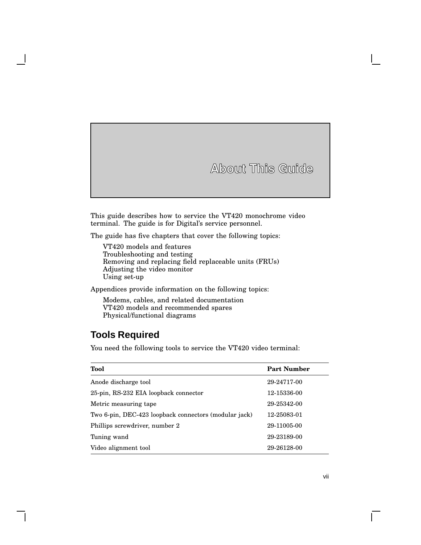**About This Guide**

This guide describes how to service the VT420 monochrome video terminal. The guide is for Digital's service personnel.

The guide has five chapters that cover the following topics:

VT420 models and features Troubleshooting and testing Removing and replacing field replaceable units (FRUs) Adjusting the video monitor Using set-up

Appendices provide information on the following topics:

Modems, cables, and related documentation VT420 models and recommended spares Physical/functional diagrams

### **Tools Required**

You need the following tools to service the VT420 video terminal:

| Tool                                                  | <b>Part Number</b> |
|-------------------------------------------------------|--------------------|
| Anode discharge tool                                  | 29-24717-00        |
| 25-pin, RS-232 EIA loopback connector                 | 12-15336-00        |
| Metric measuring tape                                 | 29-25342-00        |
| Two 6-pin, DEC-423 loopback connectors (modular jack) | 12-25083-01        |
| Phillips screwdriver, number 2                        | 29-11005-00        |
| Tuning wand                                           | 29-23189-00        |
| Video alignment tool                                  | 29-26128-00        |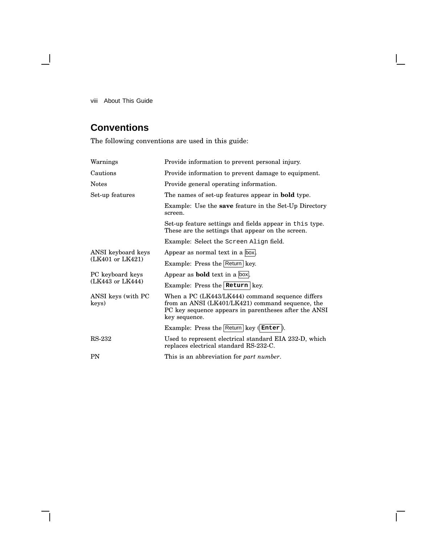viii About This Guide

 $\blacksquare$ 

## **Conventions**

The following conventions are used in this guide:

| Warnings                    | Provide information to prevent personal injury.                                                                                                                                |  |  |
|-----------------------------|--------------------------------------------------------------------------------------------------------------------------------------------------------------------------------|--|--|
| Cautions                    | Provide information to prevent damage to equipment.                                                                                                                            |  |  |
| <b>Notes</b>                | Provide general operating information.                                                                                                                                         |  |  |
| Set-up features             | The names of set-up features appear in <b>bold</b> type.                                                                                                                       |  |  |
|                             | Example: Use the <b>save</b> feature in the Set-Up Directory<br>screen.                                                                                                        |  |  |
|                             | Set-up feature settings and fields appear in this type.<br>These are the settings that appear on the screen.                                                                   |  |  |
|                             | <b>Example:</b> Select the screen Align field.                                                                                                                                 |  |  |
| ANSI keyboard keys          | Appear as normal text in a box.                                                                                                                                                |  |  |
| (LK401 or LK421)            | Example: Press the Return key.                                                                                                                                                 |  |  |
| PC keyboard keys            | Appear as <b>bold</b> text in a box.                                                                                                                                           |  |  |
| (LK443 or LK444)            | Example: Press the Return key.                                                                                                                                                 |  |  |
| ANSI keys (with PC<br>keys) | When a PC (LK443/LK444) command sequence differs<br>from an ANSI (LK401/LK421) command sequence, the<br>PC key sequence appears in parentheses after the ANSI<br>key sequence. |  |  |
|                             | Example: Press the $\sqrt{\text{Return}}$ key $(\text{Enter})$ .                                                                                                               |  |  |
| RS-232                      | Used to represent electrical standard EIA 232-D, which<br>replaces electrical standard RS-232-C.                                                                               |  |  |
| <b>PN</b>                   | This is an abbreviation for <i>part number</i> .                                                                                                                               |  |  |

Г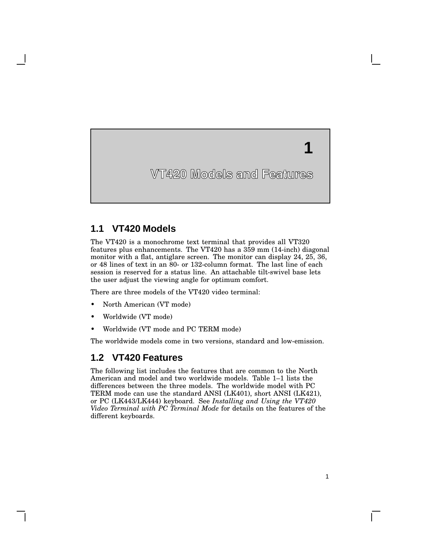**VT420 Models and Features**

**1**

### **1.1 VT420 Models**

The VT420 is a monochrome text terminal that provides all VT320 features plus enhancements. The VT420 has a 359 mm (14-inch) diagonal monitor with a flat, antiglare screen. The monitor can display 24, 25, 36, or 48 lines of text in an 80- or 132-column format. The last line of each session is reserved for a status line. An attachable tilt-swivel base lets the user adjust the viewing angle for optimum comfort.

There are three models of the VT420 video terminal:

- North American (VT mode)
- Worldwide (VT mode)
- Worldwide (VT mode and PC TERM mode)

The worldwide models come in two versions, standard and low-emission.

### **1.2 VT420 Features**

The following list includes the features that are common to the North American and model and two worldwide models. Table 1–1 lists the differences between the three models. The worldwide model with PC TERM mode can use the standard ANSI (LK401), short ANSI (LK421), or PC (LK443/LK444) keyboard. See *Installing and Using the VT420 Video Terminal with PC Terminal Mode* for details on the features of the different keyboards.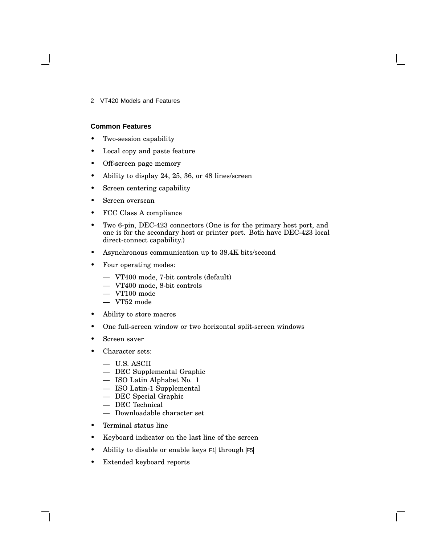2 VT420 Models and Features

#### **Common Features**

- Two-session capability
- Local copy and paste feature
- Off-screen page memory
- Ability to display 24, 25, 36, or 48 lines/screen
- Screen centering capability
- Screen overscan
- FCC Class A compliance
- Two 6-pin, DEC-423 connectors (One is for the primary host port, and one is for the secondary host or printer port. Both have DEC-423 local direct-connect capability.)
- Asynchronous communication up to 38.4K bits/second
- Four operating modes:
	- VT400 mode, 7-bit controls (default)
	- VT400 mode, 8-bit controls
	- VT100 mode
	- VT52 mode
- Ability to store macros
- One full-screen window or two horizontal split-screen windows
- Screen saver
- Character sets:
	- U.S. ASCII
	- DEC Supplemental Graphic
	- ISO Latin Alphabet No. 1
	- ISO Latin-1 Supplemental
	- DEC Special Graphic
	- DEC Technical
	- Downloadable character set
- Terminal status line
- Keyboard indicator on the last line of the screen
- Ability to disable or enable keys  $\overline{F1}$  through  $\overline{F5}$
- Extended keyboard reports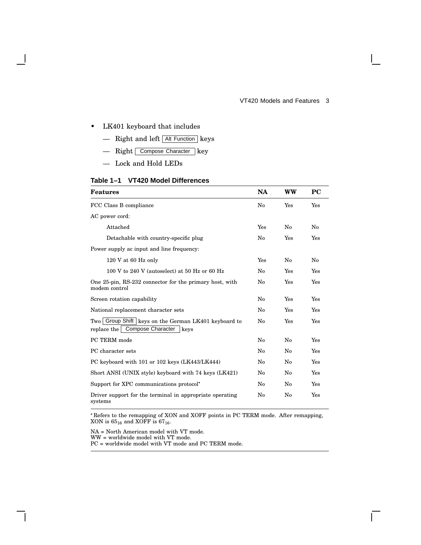#### VT420 Models and Features 3

 $\mathbf{I}$ 

#### • LK401 keyboard that includes

- Right and left Alt Function keys
- Right Compose Character key
- Lock and Hold LEDs

#### **Table 1–1 VT420 Model Differences**

| <b>Features</b>                                                                                   |     | <b>WW</b> | <b>PC</b> |
|---------------------------------------------------------------------------------------------------|-----|-----------|-----------|
| FCC Class B compliance                                                                            | No  | Yes       | Yes       |
| AC power cord:                                                                                    |     |           |           |
| Attached                                                                                          | Yes | No        | No        |
| Detachable with country-specific plug                                                             | No  | Yes       | Yes       |
| Power supply ac input and line frequency:                                                         |     |           |           |
| $120$ V at 60 Hz only                                                                             | Yes | No        | No        |
| 100 V to 240 V (autoselect) at 50 Hz or 60 Hz                                                     | No  | Yes       | Yes       |
| One 25-pin, RS-232 connector for the primary host, with<br>modem control                          |     | Yes       | Yes       |
| Screen rotation capability                                                                        |     | Yes       | Yes       |
| National replacement character sets                                                               | No  | Yes       | Yes       |
| Two Group Shift   keys on the German LK401 keyboard to<br>replace the   Compose Character<br>keys |     | Yes       | Yes       |
| PC TERM mode                                                                                      | No  | No        | Yes       |
| PC character sets                                                                                 |     | No        | Yes       |
| PC keyboard with 101 or 102 keys (LK443/LK444)                                                    |     | No        | Yes       |
| Short ANSI (UNIX style) keyboard with 74 keys (LK421)                                             |     | No        | Yes       |
| Support for XPC communications protocol <sup>*</sup>                                              |     | No        | Yes       |
| Driver support for the terminal in appropriate operating<br>systems                               |     | No        | Yes       |

 Refers to the remapping of XON and XOFF points in PC TERM mode. After remapping, XON is  $65_{16}$  and XOFF is  $67_{16}$ .

NA = North American model with VT mode.

WW = worldwide model with VT mode.

PC = worldwide model with VT mode and PC TERM mode.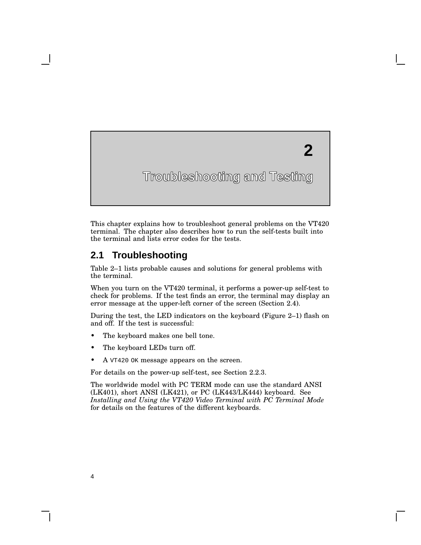# **2**

## **Troubleshooting and Testing**

This chapter explains how to troubleshoot general problems on the VT420 terminal. The chapter also describes how to run the self-tests built into the terminal and lists error codes for the tests.

### **2.1 Troubleshooting**

**2**

Table 2–1 lists probable causes and solutions for general problems with the terminal.

When you turn on the VT420 terminal, it performs a power-up self-test to check for problems. If the test finds an error, the terminal may display an error message at the upper-left corner of the screen (Section 2.4).

During the test, the LED indicators on the keyboard (Figure 2–1) flash on and off. If the test is successful:

- The keyboard makes one bell tone.
- The keyboard LEDs turn off.
- A  $VT420$  OK message appears on the screen.

For details on the power-up self-test, see Section 2.2.3.

The worldwide model with PC TERM mode can use the standard ANSI (LK401), short ANSI (LK421), or PC (LK443/LK444) keyboard. See *Installing and Using the VT420 Video Terminal with PC Terminal Mode* for details on the features of the different keyboards.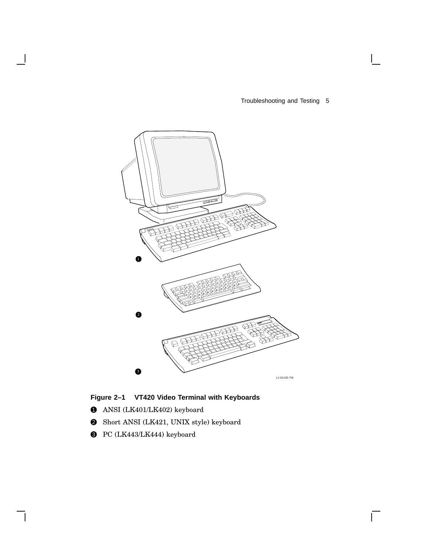Troubleshooting and Testing 5

 $\sqrt{ }$ 



**Figure 2–1 VT420 Video Terminal with Keyboards**

- $\bullet$  ANSI (LK401/LK402) keyboard
- 2 Short ANSI (LK421, UNIX style) keyboard
- <sup>3</sup> PC (LK443/LK444) keyboard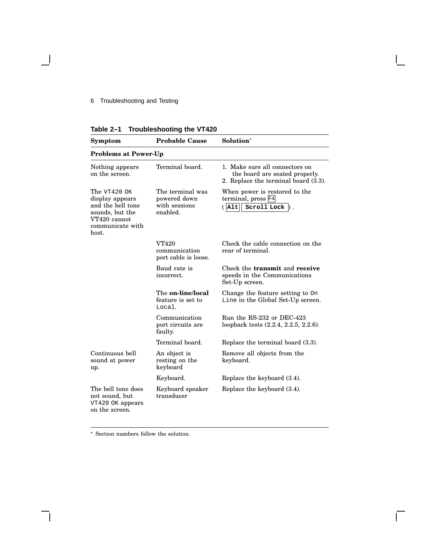### 6 Troubleshooting and Testing

| Table 2-1 Troubleshooting the VT420 |
|-------------------------------------|
|                                     |

| Symptom                                                                                                                | <b>Probable Cause</b>                                         | Solution <sup>*</sup>                                                                                    |
|------------------------------------------------------------------------------------------------------------------------|---------------------------------------------------------------|----------------------------------------------------------------------------------------------------------|
| <b>Problems at Power-Up</b>                                                                                            |                                                               |                                                                                                          |
| Nothing appears<br>on the screen.                                                                                      | Terminal board.                                               | 1. Make sure all connectors on<br>the board are seated properly.<br>2. Replace the terminal board (3.3). |
| The $VT420$ OK<br>display appears<br>and the bell tone<br>sounds, but the<br>VT420 cannot<br>communicate with<br>host. | The terminal was<br>powered down<br>with sessions<br>enabled. | When power is restored to the<br>terminal, press F4<br>Scroll Lock<br>$($ Alt                            |
|                                                                                                                        | <b>VT420</b><br>communication<br>port cable is loose.         | Check the cable connection on the<br>rear of terminal.                                                   |
|                                                                                                                        | Baud rate is<br>incorrect.                                    | Check the <b>transmit</b> and <b>receive</b><br>speeds in the Communications<br>Set-Up screen.           |
|                                                                                                                        | The <b>on-line/local</b><br>feature is set to<br>Local.       | Change the feature setting to On<br>Line in the Global Set-Up screen.                                    |
|                                                                                                                        | Communication<br>port circuits are<br>faulty.                 | Run the RS-232 or DEC-423<br>loopback tests (2.2.4, 2.2.5, 2.2.6).                                       |
|                                                                                                                        | Terminal board.                                               | Replace the terminal board (3.3).                                                                        |
| Continuous bell<br>sound at power<br>up.                                                                               | An object is<br>resting on the<br>keyboard                    | Remove all objects from the<br>keyboard.                                                                 |
|                                                                                                                        | Keyboard.                                                     | Replace the keyboard $(3.4)$ .                                                                           |
| The bell tone does<br>not sound, but<br>VT420 OK appears<br>on the screen.                                             | Keyboard speaker<br>transducer                                | Replace the keyboard $(3.4)$ .                                                                           |

 $\mathbf{I}$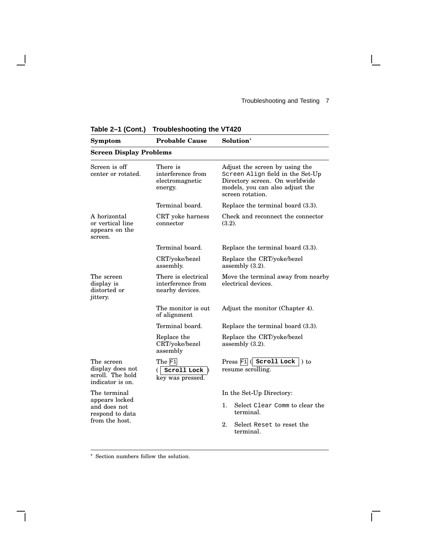$\overline{\Gamma}$ 

| $14010 E + 1001111$                                                                 | <b>IIVANIVOIIVVIII</b> I                                      |                                                                                                                                                             |
|-------------------------------------------------------------------------------------|---------------------------------------------------------------|-------------------------------------------------------------------------------------------------------------------------------------------------------------|
| Symptom                                                                             | <b>Probable Cause</b>                                         | Solution <sup>*</sup>                                                                                                                                       |
| <b>Screen Display Problems</b>                                                      |                                                               |                                                                                                                                                             |
| Screen is off<br>center or rotated.                                                 | There is<br>interference from<br>electromagnetic<br>energy.   | Adjust the screen by using the<br>Screen Align field in the Set-Up<br>Directory screen. On worldwide<br>models, you can also adjust the<br>screen rotation. |
|                                                                                     | Terminal board.                                               | Replace the terminal board (3.3).                                                                                                                           |
| A horizontal<br>or vertical line<br>appears on the<br>screen.                       | CRT yoke harness<br>connector                                 | Check and reconnect the connector<br>(3.2).                                                                                                                 |
|                                                                                     | Terminal board.                                               | Replace the terminal board (3.3).                                                                                                                           |
|                                                                                     | CRT/yoke/bezel<br>assembly.                                   | Replace the CRT/yoke/bezel<br>assembly $(3.2)$ .                                                                                                            |
| The screen<br>display is<br>distorted or<br>jittery.                                | There is electrical<br>interference from<br>nearby devices.   | Move the terminal away from nearby<br>electrical devices.                                                                                                   |
|                                                                                     | The monitor is out<br>of alignment                            | Adjust the monitor (Chapter 4).                                                                                                                             |
|                                                                                     | Terminal board.                                               | Replace the terminal board (3.3).                                                                                                                           |
|                                                                                     | Replace the<br>CRT/yoke/bezel<br>assembly                     | Replace the CRT/yoke/bezel<br>assembly $(3.2)$ .                                                                                                            |
| The screen<br>display does not<br>scroll. The hold<br>indicator is on.              | The F <sub>1</sub><br>Scroll Lock $\vert$<br>key was pressed. | Press F <sub>1</sub> (Scroll Lock<br>$\lambda$ to<br>resume scrolling.                                                                                      |
| The terminal<br>appears locked<br>and does not<br>respond to data<br>from the host. |                                                               | In the Set-Up Directory:<br>Select Clear Comm to clear the<br>1.<br>terminal.<br>2.<br>Select Reset to reset the<br>terminal.                               |

**Table 2–1 (Cont.) Troubleshooting the VT420**

 $\overline{\phantom{a}}$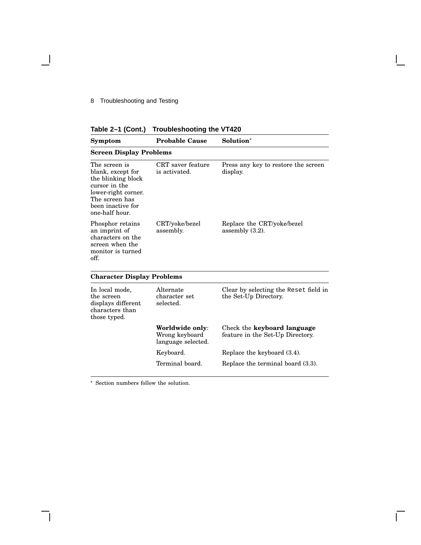8 Troubleshooting and Testing

- 1

|  |  |  | Table 2-1 (Cont.) Troubleshooting the VT420 |  |  |
|--|--|--|---------------------------------------------|--|--|
|--|--|--|---------------------------------------------|--|--|

| Symptom                                                                                                                                                   | <b>Probable Cause</b>                                   | Solution <sup>*</sup>                                           |
|-----------------------------------------------------------------------------------------------------------------------------------------------------------|---------------------------------------------------------|-----------------------------------------------------------------|
| <b>Screen Display Problems</b>                                                                                                                            |                                                         |                                                                 |
| The screen is<br>blank, except for<br>the blinking block<br>cursor in the<br>lower-right corner.<br>The screen has<br>been inactive for<br>one-half hour. | CRT saver feature<br>is activated.                      | Press any key to restore the screen<br>display.                 |
| Phosphor retains<br>an imprint of<br>characters on the<br>screen when the<br>monitor is turned<br>off.                                                    | CRT/yoke/bezel<br>assembly.                             | Replace the CRT/yoke/bezel<br>assembly $(3.2)$ .                |
| <b>Character Display Problems</b>                                                                                                                         |                                                         |                                                                 |
| In local mode,<br>the screen<br>displays different<br>characters than<br>those typed.                                                                     | Alternate<br>character set<br>selected.                 | Clear by selecting the Reset field in<br>the Set-Up Directory.  |
|                                                                                                                                                           | Worldwide only:<br>Wrong keyboard<br>language selected. | Check the keyboard language<br>feature in the Set-Up Directory. |
|                                                                                                                                                           | Keyboard.                                               | Replace the keyboard (3.4).                                     |
|                                                                                                                                                           | Terminal board.                                         | Replace the terminal board (3.3).                               |

 $\mathbf{I}$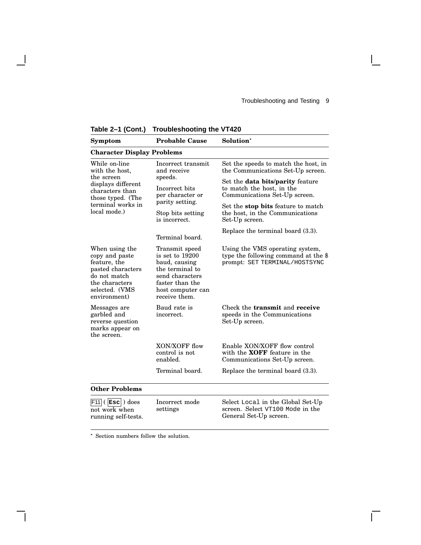| IUNIV L                                                                                                                                          |                                                                                                                                                   |                                                                                                          |
|--------------------------------------------------------------------------------------------------------------------------------------------------|---------------------------------------------------------------------------------------------------------------------------------------------------|----------------------------------------------------------------------------------------------------------|
| Symptom                                                                                                                                          | <b>Probable Cause</b>                                                                                                                             | Solution <sup>*</sup>                                                                                    |
| <b>Character Display Problems</b>                                                                                                                |                                                                                                                                                   |                                                                                                          |
| While on-line<br>with the host,<br>the screen<br>displays different<br>characters than<br>those typed. (The<br>terminal works in<br>local mode.) | Incorrect transmit<br>and receive<br>speeds.<br>Incorrect bits<br>per character or<br>parity setting.<br>Stop bits setting<br>is incorrect.       | Set the speeds to match the host, in<br>the Communications Set-Up screen.                                |
|                                                                                                                                                  |                                                                                                                                                   | Set the <b>data bits/parity</b> feature<br>to match the host, in the<br>Communications Set-Up screen.    |
|                                                                                                                                                  |                                                                                                                                                   | Set the <b>stop bits</b> feature to match<br>the host, in the Communications<br>Set-Up screen.           |
|                                                                                                                                                  | Terminal board.                                                                                                                                   | Replace the terminal board (3.3).                                                                        |
| When using the<br>copy and paste<br>feature, the<br>pasted characters<br>do not match<br>the characters<br>selected. (VMS<br>environment)        | Transmit speed<br>is set to 19200<br>baud, causing<br>the terminal to<br>send characters<br>faster than the<br>host computer can<br>receive them. | Using the VMS operating system,<br>type the following command at the \$<br>prompt: SET TERMINAL/HOSTSYNC |
| Messages are<br>garbled and<br>reverse question<br>marks appear on<br>the screen.                                                                | Baud rate is<br>incorrect.                                                                                                                        | Check the <b>transmit</b> and <b>receive</b><br>speeds in the Communications<br>Set-Up screen.           |
|                                                                                                                                                  | XON/XOFF flow<br>control is not<br>enabled.                                                                                                       | Enable XON/XOFF flow control<br>with the <b>XOFF</b> feature in the<br>Communications Set-Up screen.     |
|                                                                                                                                                  | Terminal board.                                                                                                                                   | Replace the terminal board (3.3).                                                                        |
| <b>Other Problems</b>                                                                                                                            |                                                                                                                                                   |                                                                                                          |
| F11<br>$($ Esc $)$ does<br>not work when                                                                                                         | Incorrect mode<br>settings                                                                                                                        | Select Local in the Global Set-Up<br>screen. Select VT100 Mode in the                                    |

General Set-Up screen.

Г

**Table 2–1 (Cont.) Troubleshooting the VT420**

 $\overline{\phantom{a}}$ 

Section numbers follow the solution.

running self-tests.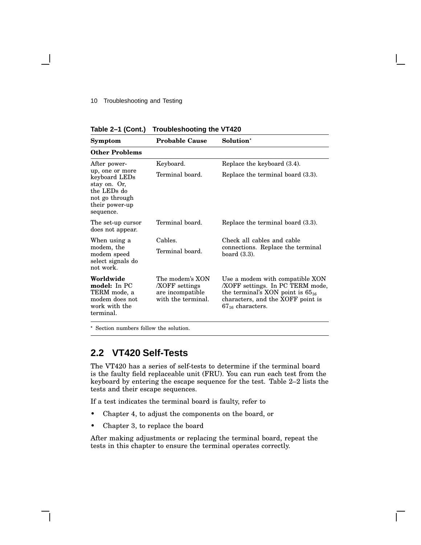#### 10 Troubleshooting and Testing

**Table 2–1 (Cont.) Troubleshooting the VT420**

| <b>Symptom</b>                                                                                                   | <b>Probable Cause</b>                                                             | Solution*                                                                                                                                                                 |
|------------------------------------------------------------------------------------------------------------------|-----------------------------------------------------------------------------------|---------------------------------------------------------------------------------------------------------------------------------------------------------------------------|
| <b>Other Problems</b>                                                                                            |                                                                                   |                                                                                                                                                                           |
| After power-                                                                                                     | Keyboard.                                                                         | Replace the keyboard (3.4).                                                                                                                                               |
| up, one or more<br>keyboard LEDs<br>stay on. Or,<br>the LEDs do<br>not go through<br>their power-up<br>sequence. | Terminal board.                                                                   | Replace the terminal board (3.3).                                                                                                                                         |
| The set-up cursor<br>does not appear.                                                                            | Terminal board.                                                                   | Replace the terminal board (3.3).                                                                                                                                         |
| When using a                                                                                                     | Cables.                                                                           | Check all cables and cable                                                                                                                                                |
| modem, the<br>modem speed<br>select signals do<br>not work.                                                      | Terminal board.                                                                   | connections. Replace the terminal<br>board $(3.3)$ .                                                                                                                      |
| Worldwide<br>model: In PC<br>TERM mode, a<br>modem does not<br>work with the<br>terminal.                        | The modem's XON<br><b>XOFF</b> settings<br>are incompatible<br>with the terminal. | Use a modem with compatible XON<br>XOFF settings. In PC TERM mode,<br>the terminal's XON point is $65_{16}$<br>characters, and the XOFF point is<br>$67_{16}$ characters. |

Section numbers follow the solution.

### **2.2 VT420 Self-Tests**

The VT420 has a series of self-tests to determine if the terminal board is the faulty field replaceable unit (FRU). You can run each test from the keyboard by entering the escape sequence for the test. Table 2–2 lists the tests and their escape sequences.

If a test indicates the terminal board is faulty, refer to

- Chapter 4, to adjust the components on the board, or
- Chapter 3, to replace the board

After making adjustments or replacing the terminal board, repeat the tests in this chapter to ensure the terminal operates correctly.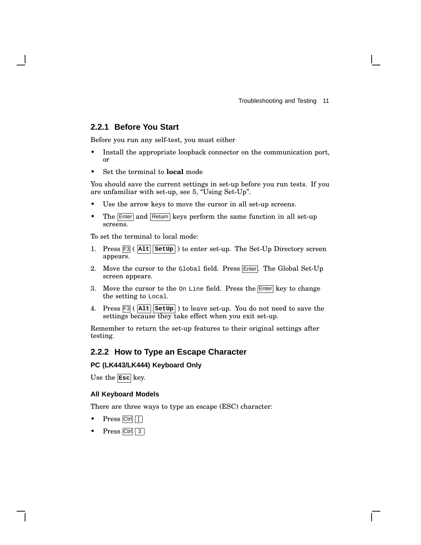### **2.2.1 Before You Start**

Before you run any self-test, you must either

- Install the appropriate loopback connector on the communication port, or
- Set the terminal to **local** mode

You should save the current settings in set-up before you run tests. If you are unfamiliar with set-up, see 5, ''Using Set-Up''.

- Use the arrow keys to move the cursor in all set-up screens.
- The Enter and Return keys perform the same function in all set-up screens.

To set the terminal to local mode:

- 1. Press F3 ( **Alt SetUp** ) to enter set-up. The Set-Up Directory screen appears.
- 2. Move the cursor to the  $G$ lobal field. Press  $\overline{\text{Enter}}$ . The Global Set-Up screen appears.
- 3. Move the cursor to the  $On$  Line field. Press the  $[Enter]$  key to change the setting to Local.
- 4. Press F3 ( **Alt SetUp** ) to leave set-up. You do not need to save the settings because they take effect when you exit set-up.

Remember to return the set-up features to their original settings after testing.

### **2.2.2 How to Type an Escape Character**

#### **PC (LK443/LK444) Keyboard Only**

Use the **Esc** key.

#### **All Keyboard Models**

There are three ways to type an escape (ESC) character:

- $Press$  Ctrl  $\boxed{ \boxed{ } }$
- Press Ctrl 3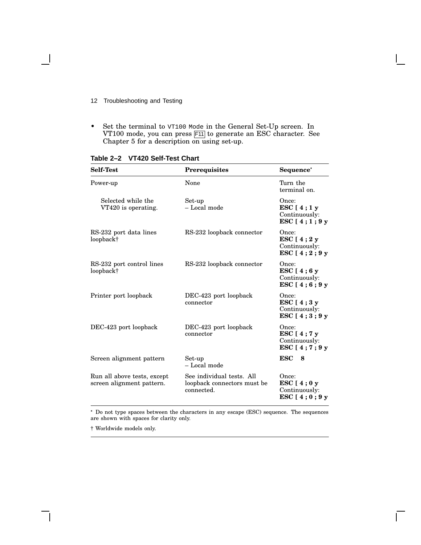- 12 Troubleshooting and Testing
- Set the terminal to  $v$ T100 Mode in the General Set-Up screen. In VT100 mode, you can press F11 to generate an ESC character. See Chapter 5 for a description on using set-up.

| <b>Self-Test</b>                                         | Prerequisites                                                          | Sequence*                                                |
|----------------------------------------------------------|------------------------------------------------------------------------|----------------------------------------------------------|
| Power-up                                                 | None                                                                   | Turn the<br>terminal on.                                 |
| Selected while the<br>VT420 is operating.                | Set-up<br>- Local mode                                                 | Once:<br>ESC $[4;1y]$<br>Continuously:<br>ESC $[4;1;9y]$ |
| RS-232 port data lines<br>loopback†                      | RS-232 loopback connector                                              | Once:<br>ESC $[4;2y]$<br>Continuously:<br>ESC $[4;2;9y]$ |
| RS-232 port control lines<br>loopback†                   | RS-232 loopback connector                                              | Once:<br>ESC $[4;6y]$<br>Continuously:<br>ESC $[4;6;9y]$ |
| Printer port loopback                                    | DEC-423 port loopback<br>connector                                     | Once:<br>ESC $[4;3y]$<br>Continuously:<br>ESC $[4;3;9y]$ |
| DEC-423 port loopback                                    | DEC-423 port loopback<br>connector                                     | Once:<br>ESC [4; 7 y<br>Continuously:<br>ESC [4;7;9 y    |
| Screen alignment pattern                                 | Set-up<br>- Local mode                                                 | <b>ESC</b><br>8                                          |
| Run all above tests, except<br>screen alignment pattern. | See individual tests. All<br>loopback connectors must be<br>connected. | Once:<br>ESC $[4;0y]$<br>Continuously:<br>ESC $[4;0;9y]$ |

**Table 2–2 VT420 Self-Test Chart**

 Do not type spaces between the characters in any escape (ESC) sequence. The sequences are shown with spaces for clarity only.

† Worldwide models only.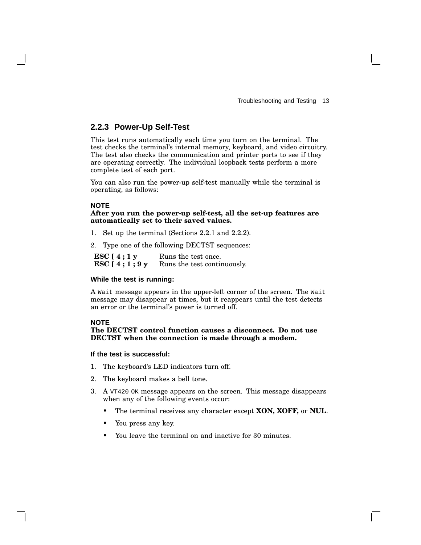### **2.2.3 Power-Up Self-Test**

This test runs automatically each time you turn on the terminal. The test checks the terminal's internal memory, keyboard, and video circuitry. The test also checks the communication and printer ports to see if they are operating correctly. The individual loopback tests perform a more complete test of each port.

You can also run the power-up self-test manually while the terminal is operating, as follows:

#### **NOTE**

#### **After you run the power-up self-test, all the set-up features are automatically set to their saved values.**

- 1. Set up the terminal (Sections 2.2.1 and 2.2.2).
- 2. Type one of the following DECTST sequences:

**ESC [ 4 ; 1 y ESC [ 4 ; 1 ; 9 y** Runs the test once. Runs the test continuously.

#### **While the test is running:**

A Wait message appears in the upper-left corner of the screen. The Wait message may disappear at times, but it reappears until the test detects an error or the terminal's power is turned off.

#### **NOTE**

#### **The DECTST control function causes a disconnect. Do not use DECTST when the connection is made through a modem.**

#### **If the test is successful:**

- 1. The keyboard's LED indicators turn off.
- 2. The keyboard makes a bell tone.
- 3. A VT420 OK message appears on the screen. This message disappears when any of the following events occur:
	- The terminal receives any character except **XON, XOFF,** or **NUL**.
	- You press any key.
	- You leave the terminal on and inactive for 30 minutes.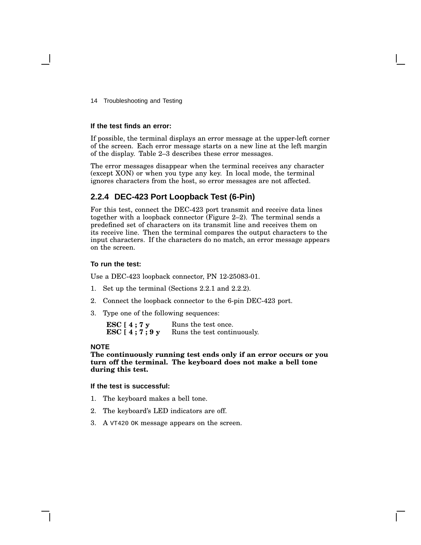14 Troubleshooting and Testing

#### **If the test finds an error:**

If possible, the terminal displays an error message at the upper-left corner of the screen. Each error message starts on a new line at the left margin of the display. Table 2–3 describes these error messages.

The error messages disappear when the terminal receives any character (except XON) or when you type any key. In local mode, the terminal ignores characters from the host, so error messages are not affected.

### **2.2.4 DEC-423 Port Loopback Test (6-Pin)**

For this test, connect the DEC-423 port transmit and receive data lines together with a loopback connector (Figure 2–2). The terminal sends a predefined set of characters on its transmit line and receives them on its receive line. Then the terminal compares the output characters to the input characters. If the characters do no match, an error message appears on the screen.

#### **To run the test:**

Use a DEC-423 loopback connector, PN 12-25083-01.

- 1. Set up the terminal (Sections 2.2.1 and 2.2.2).
- 2. Connect the loopback connector to the 6-pin DEC-423 port.
- 3. Type one of the following sequences:

**ESC [ 4 ; 7 y ESC [ 4 ; 7 ; 9 y** Runs the test once. Runs the test continuously.

#### **NOTE**

**The continuously running test ends only if an error occurs or you turn off the terminal. The keyboard does not make a bell tone during this test.**

#### **If the test is successful:**

- 1. The keyboard makes a bell tone.
- 2. The keyboard's LED indicators are off.
- 3. A VT420 OK message appears on the screen.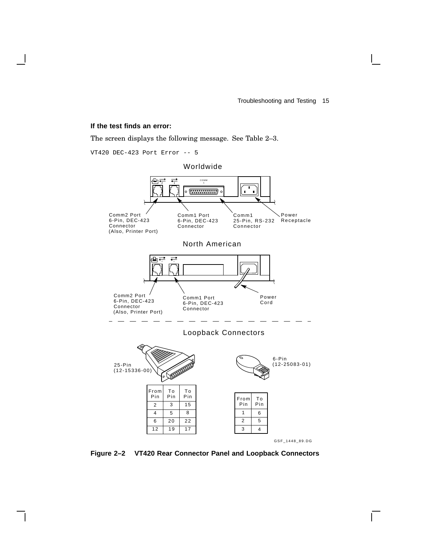#### **If the test finds an error:**

The screen displays the following message. See Table 2–3.



**Figure 2–2 VT420 Rear Connector Panel and Loopback Connectors**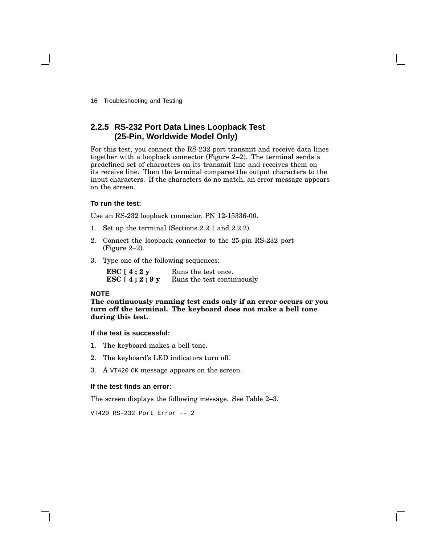16 Troubleshooting and Testing

### **2.2.5 RS-232 Port Data Lines Loopback Test (25-Pin, Worldwide Model Only)**

For this test, you connect the RS-232 port transmit and receive data lines together with a loopback connector (Figure 2–2). The terminal sends a predefined set of characters on its transmit line and receives them on its receive line. Then the terminal compares the output characters to the input characters. If the characters do no match, an error message appears on the screen.

#### **To run the test:**

Use an RS-232 loopback connector, PN 12-15336-00.

- 1. Set up the terminal (Sections 2.2.1 and 2.2.2).
- 2. Connect the loopback connector to the 25-pin RS-232 port (Figure 2–2).
- 3. Type one of the following sequences:

| ESC [ 4 ; 2 y     | Runs the test once.         |
|-------------------|-----------------------------|
| ESC [ 4 ; 2 ; 9 y | Runs the test continuously. |

#### **NOTE**

**The continuously running test ends only if an error occurs or you turn off the terminal. The keyboard does not make a bell tone during this test.**

#### **If the test is successful:**

- 1. The keyboard makes a bell tone.
- 2. The keyboard's LED indicators turn off.
- 3. A VT420 OK message appears on the screen.

#### **If the test finds an error:**

The screen displays the following message. See Table 2–3.

VT420 RS-232 Port Error -- 2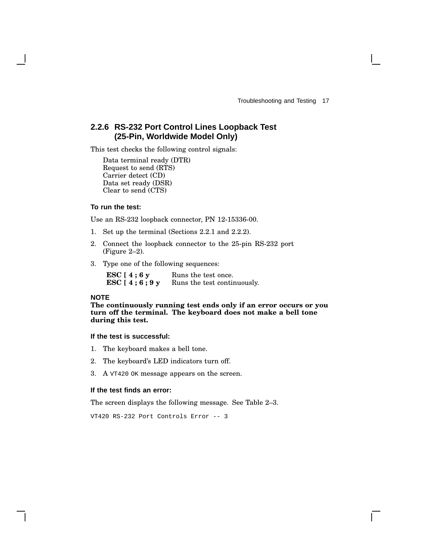### **2.2.6 RS-232 Port Control Lines Loopback Test (25-Pin, Worldwide Model Only)**

This test checks the following control signals:

Data terminal ready (DTR) Request to send (RTS) Carrier detect (CD) Data set ready (DSR) Clear to send (CTS)

#### **To run the test:**

Use an RS-232 loopback connector, PN 12-15336-00.

- 1. Set up the terminal (Sections 2.2.1 and 2.2.2).
- 2. Connect the loopback connector to the 25-pin RS-232 port (Figure 2–2).
- 3. Type one of the following sequences:

| ESC $[4;6y]$   | Runs the test once.         |
|----------------|-----------------------------|
| ESC $[4;6;9y]$ | Runs the test continuously. |

#### **NOTE**

**The continuously running test ends only if an error occurs or you turn off the terminal. The keyboard does not make a bell tone during this test.**

#### **If the test is successful:**

- 1. The keyboard makes a bell tone.
- 2. The keyboard's LED indicators turn off.
- 3. A VT420 OK message appears on the screen.

#### **If the test finds an error:**

The screen displays the following message. See Table 2–3.

VT420 RS-232 Port Controls Error -- 3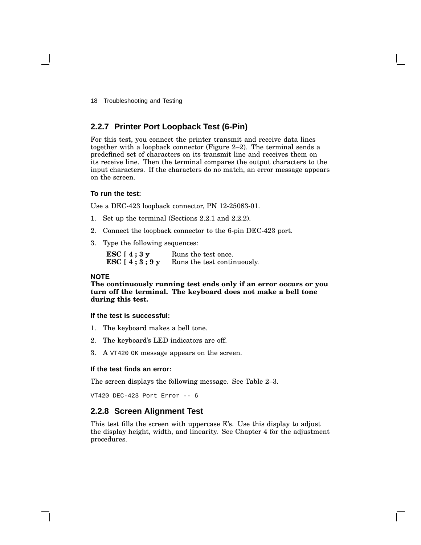18 Troubleshooting and Testing

### **2.2.7 Printer Port Loopback Test (6-Pin)**

For this test, you connect the printer transmit and receive data lines together with a loopback connector (Figure 2–2). The terminal sends a predefined set of characters on its transmit line and receives them on its receive line. Then the terminal compares the output characters to the input characters. If the characters do no match, an error message appears on the screen.

#### **To run the test:**

Use a DEC-423 loopback connector, PN 12-25083-01.

- 1. Set up the terminal (Sections 2.2.1 and 2.2.2).
- 2. Connect the loopback connector to the 6-pin DEC-423 port.
- 3. Type the following sequences:

**ESC [ 4 ; 3 y ESC [ 4 ; 3 ; 9 y** Runs the test once. Runs the test continuously.

#### **NOTE**

**The continuously running test ends only if an error occurs or you turn off the terminal. The keyboard does not make a bell tone during this test.**

#### **If the test is successful:**

- 1. The keyboard makes a bell tone.
- 2. The keyboard's LED indicators are off.
- 3. A VT420 OK message appears on the screen.

#### **If the test finds an error:**

The screen displays the following message. See Table 2–3.

VT420 DEC-423 Port Error -- 6

#### **2.2.8 Screen Alignment Test**

This test fills the screen with uppercase E's. Use this display to adjust the display height, width, and linearity. See Chapter 4 for the adjustment procedures.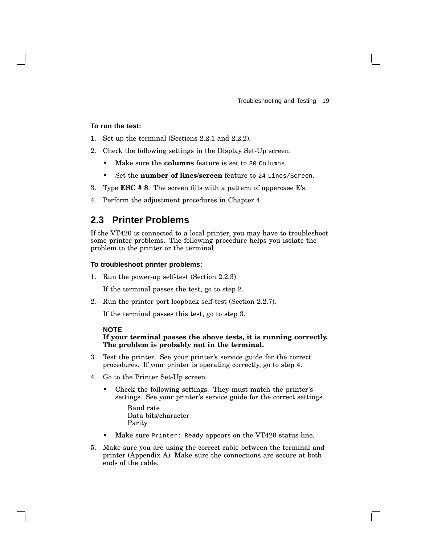#### **To run the test:**

- 1. Set up the terminal (Sections 2.2.1 and 2.2.2).
- 2. Check the following settings in the Display Set-Up screen:
	- Make sure the **columns** feature is set to 80 Columns.
	- Set the **number of lines/screen** feature to 24 Lines/Screen.
- 3. Type **ESC # 8**. The screen fills with a pattern of uppercase E's.
- 4. Perform the adjustment procedures in Chapter 4.

### **2.3 Printer Problems**

If the VT420 is connected to a local printer, you may have to troubleshoot some printer problems. The following procedure helps you isolate the problem to the printer or the terminal.

#### **To troubleshoot printer problems:**

1. Run the power-up self-test (Section 2.2.3).

If the terminal passes the test, go to step 2.

2. Run the printer port loopback self-test (Section 2.2.7).

If the terminal passes this test, go to step 3.

#### **NOTE**

#### **If your terminal passes the above tests, it is running correctly. The problem is probably not in the terminal.**

- 3. Test the printer. See your printer's service guide for the correct procedures. If your printer is operating correctly, go to step 4.
- 4. Go to the Printer Set-Up screen.
	- Check the following settings. They must match the printer's settings. See your printer's service guide for the correct settings.

Baud rate Data bits/character Parity

- Make sure Printer: Ready appears on the VT420 status line.
- 5. Make sure you are using the correct cable between the terminal and printer (Appendix A). Make sure the connections are secure at both ends of the cable.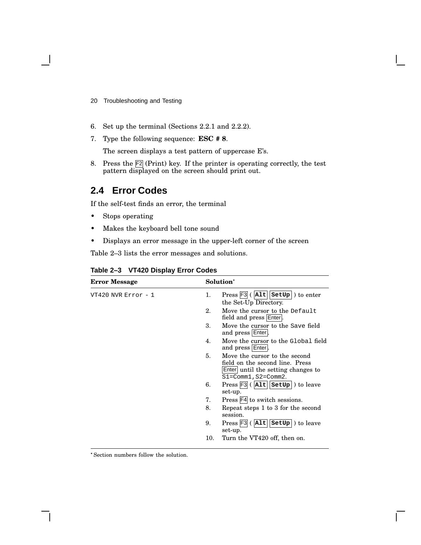- 20 Troubleshooting and Testing
- 6. Set up the terminal (Sections 2.2.1 and 2.2.2).
- 7. Type the following sequence: **ESC # 8**.

The screen displays a test pattern of uppercase E's.

8. Press the  $\boxed{F2}$  (Print) key. If the printer is operating correctly, the test pattern displayed on the screen should print out.

### **2.4 Error Codes**

If the self-test finds an error, the terminal

- Stops operating
- Makes the keyboard bell tone sound
- Displays an error message in the upper-left corner of the screen

Table 2–3 lists the error messages and solutions.

| <b>Error Message</b>    |     | Solution <sup>*</sup>                                                                                                               |
|-------------------------|-----|-------------------------------------------------------------------------------------------------------------------------------------|
| $VT420$ NVR $Error - 1$ | 1.  | $Press$ $F3$ ( $ Alt $ setup) to enter<br>the Set-Up Directory.                                                                     |
|                         | 2.  | Move the cursor to the Default<br>field and press Enter.                                                                            |
|                         | 3.  | Move the cursor to the Save field<br>and press Enter.                                                                               |
|                         | 4.  | Move the cursor to the Global field<br>and press Enter.                                                                             |
|                         | 5.  | Move the cursor to the second<br>field on the second line. Press<br>Enter until the setting changes to<br>$S1 = Comm1, S2 = Comm2.$ |
|                         | 6.  | $Press$ $F3$ ( $ Alt $<br>$setUp$ ) to leave<br>set-up.                                                                             |
|                         | 7.  | Press F4 to switch sessions.                                                                                                        |
|                         | 8.  | Repeat steps 1 to 3 for the second<br>session.                                                                                      |
|                         | 9.  | $Press$ $F3$ ( $ A1t $<br>SetUp<br>to leave<br>set-up.                                                                              |
|                         | 10. | Turn the VT420 off, then on.                                                                                                        |

#### **Table 2–3 VT420 Display Error Codes**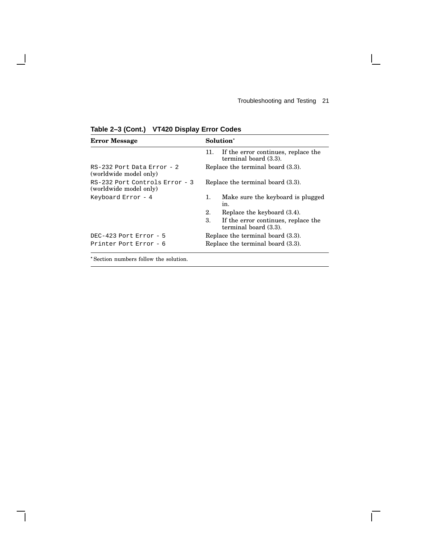$\mathsf{I}$ 

 $\overline{\Gamma}$ 

| <b>Error Message</b>                                     | Solution <sup>*</sup>                                               |  |
|----------------------------------------------------------|---------------------------------------------------------------------|--|
|                                                          | If the error continues, replace the<br>11.<br>terminal board (3.3). |  |
| RS-232 Port Data Error - 2<br>(worldwide model only)     | Replace the terminal board (3.3).                                   |  |
| RS-232 Port Controls Error - 3<br>(worldwide model only) | Replace the terminal board (3.3).                                   |  |
| Keyboard Error $-4$                                      | Make sure the keyboard is plugged<br>1.<br>in.                      |  |
|                                                          | 2.<br>Replace the keyboard $(3.4)$ .                                |  |
|                                                          | 3.<br>If the error continues, replace the<br>terminal board (3.3).  |  |
| DEC-423 Port Error - $5$                                 | Replace the terminal board (3.3).                                   |  |
| Printer Port Error - 6                                   | Replace the terminal board (3.3).                                   |  |

**Table 2–3 (Cont.) VT420 Display Error Codes**

 $\overline{\phantom{a}}$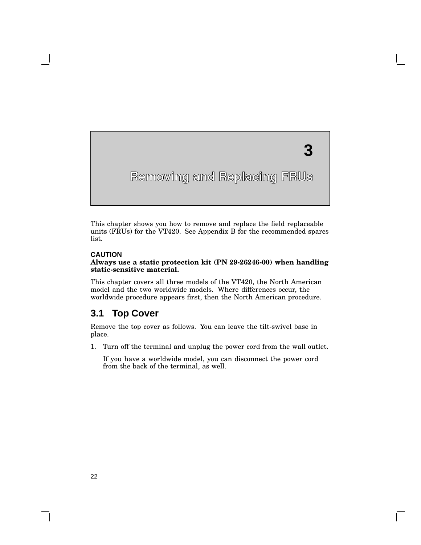**3**

This chapter shows you how to remove and replace the field replaceable units (FRUs) for the VT420. See Appendix B for the recommended spares list.

#### **CAUTION**

**3**

#### **Always use a static protection kit (PN 29-26246-00) when handling static-sensitive material.**

This chapter covers all three models of the VT420, the North American model and the two worldwide models. Where differences occur, the worldwide procedure appears first, then the North American procedure.

### **3.1 Top Cover**

Remove the top cover as follows. You can leave the tilt-swivel base in place.

1. Turn off the terminal and unplug the power cord from the wall outlet.

If you have a worldwide model, you can disconnect the power cord from the back of the terminal, as well.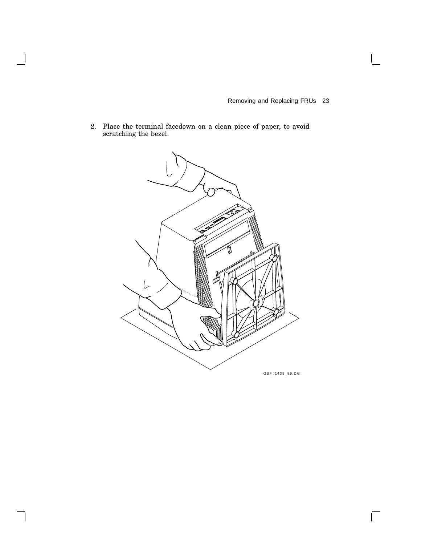$\overline{\Gamma}$ 

2. Place the terminal facedown on a clean piece of paper, to avoid scratching the bezel.

 $\overline{\phantom{a}}$ 

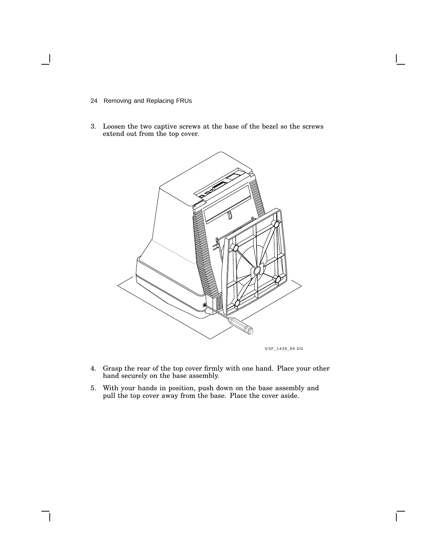- 24 Removing and Replacing FRUs
- 3. Loosen the two captive screws at the base of the bezel so the screws extend out from the top cover.



GSF\_1439\_89.DG

 $\mathsf{I}$ 

- 4. Grasp the rear of the top cover firmly with one hand. Place your other hand securely on the base assembly.
- 5. With your hands in position, push down on the base assembly and pull the top cover away from the base. Place the cover aside.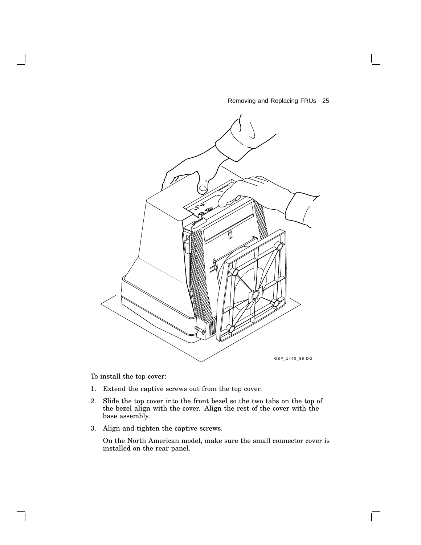

To install the top cover:

- 1. Extend the captive screws out from the top cover.
- 2. Slide the top cover into the front bezel so the two tabs on the top of the bezel align with the cover. Align the rest of the cover with the base assembly.
- 3. Align and tighten the captive screws.

On the North American model, make sure the small connector cover is installed on the rear panel.

 $\mathbf{L}$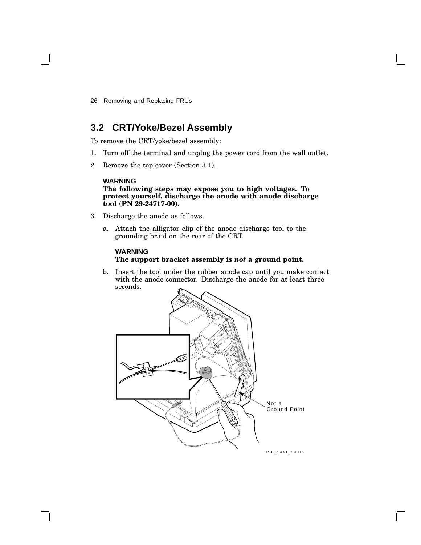## **3.2 CRT/Yoke/Bezel Assembly**

To remove the CRT/yoke/bezel assembly:

- 1. Turn off the terminal and unplug the power cord from the wall outlet.
- 2. Remove the top cover (Section 3.1).

### **WARNING**

#### **The following steps may expose you to high voltages. To protect yourself, discharge the anode with anode discharge tool (PN 29-24717-00).**

- 3. Discharge the anode as follows.
	- a. Attach the alligator clip of the anode discharge tool to the grounding braid on the rear of the CRT.

#### **WARNING**

#### **The support bracket assembly is** *not* **a ground point.**

b. Insert the tool under the rubber anode cap until you make contact with the anode connector. Discharge the anode for at least three seconds.

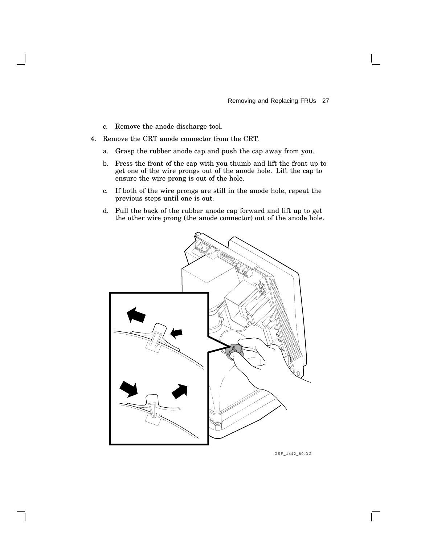- c. Remove the anode discharge tool.
- 4. Remove the CRT anode connector from the CRT.
	- a. Grasp the rubber anode cap and push the cap away from you.
	- b. Press the front of the cap with you thumb and lift the front up to get one of the wire prongs out of the anode hole. Lift the cap to ensure the wire prong is out of the hole.
	- c. If both of the wire prongs are still in the anode hole, repeat the previous steps until one is out.
	- d. Pull the back of the rubber anode cap forward and lift up to get the other wire prong (the anode connector) out of the anode hole.



GSF\_1442\_89.DG

 $\mathbf{I}$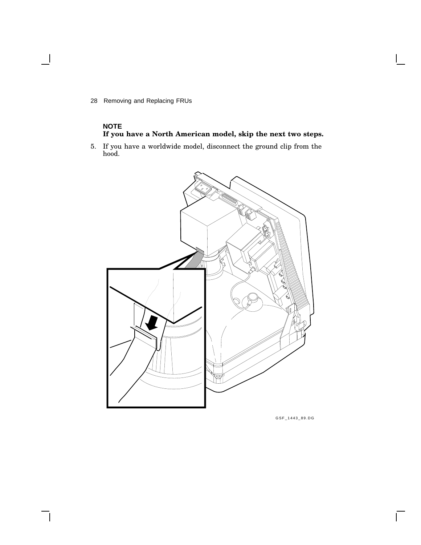### **NOTE If you have a North American model, skip the next two steps.**

5. If you have a worldwide model, disconnect the ground clip from the hood.



GSF\_1443\_89.DG

 $\mathsf{L}$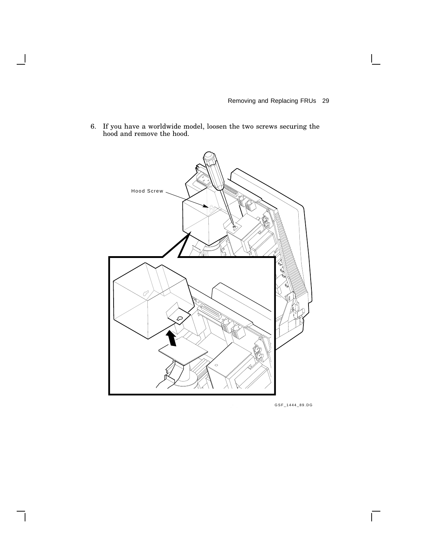6. If you have a worldwide model, loosen the two screws securing the hood and remove the hood.

 $\overline{\phantom{a}}$ 



GSF\_1444\_89.DG

 $\Gamma$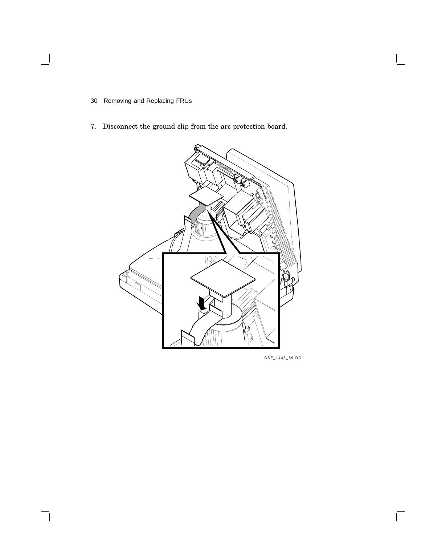$\overline{\phantom{a}}$ 

7. Disconnect the ground clip from the arc protection board.



GSF\_1445\_89.DG

 $\overline{\Gamma}$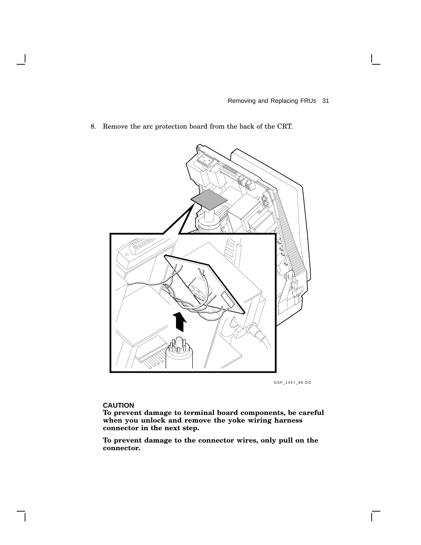8. Remove the arc protection board from the back of the CRT.



GSF\_1447\_89.DG

 $\mathbf{L}$ 

#### **CAUTION**

**To prevent damage to terminal board components, be careful when you unlock and remove the yoke wiring harness connector in the next step.**

**To prevent damage to the connector wires, only pull on the connector.**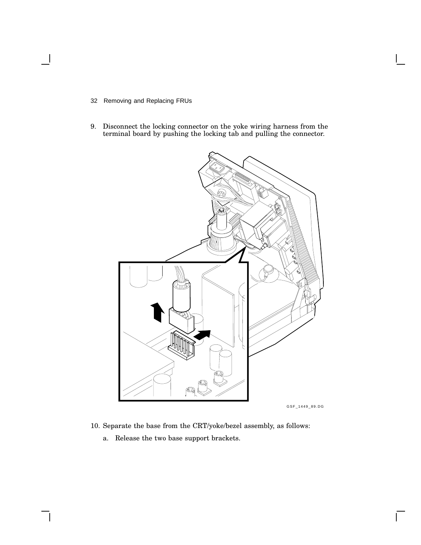- 32 Removing and Replacing FRUs
- 9. Disconnect the locking connector on the yoke wiring harness from the terminal board by pushing the locking tab and pulling the connector.



10. Separate the base from the CRT/yoke/bezel assembly, as follows:

 $\overline{\Gamma}$ 

a. Release the two base support brackets.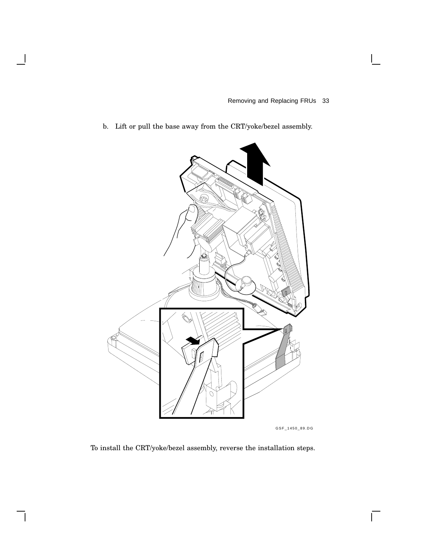b. Lift or pull the base away from the CRT/yoke/bezel assembly.



GSF\_1450\_89.DG

 $\overline{\Gamma}$ 

To install the CRT/yoke/bezel assembly, reverse the installation steps.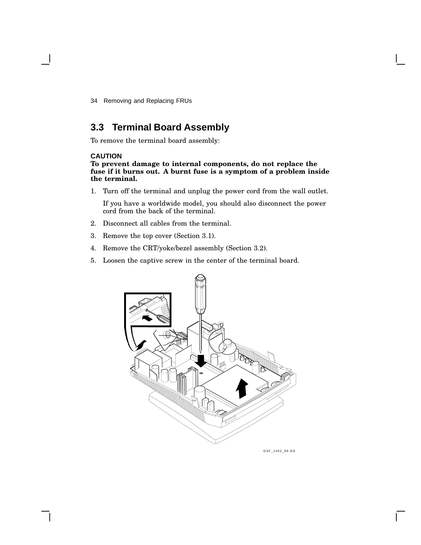# **3.3 Terminal Board Assembly**

To remove the terminal board assembly:

#### **CAUTION**

**To prevent damage to internal components, do not replace the fuse if it burns out. A burnt fuse is a symptom of a problem inside the terminal.**

1. Turn off the terminal and unplug the power cord from the wall outlet.

If you have a worldwide model, you should also disconnect the power cord from the back of the terminal.

- 2. Disconnect all cables from the terminal.
- 3. Remove the top cover (Section 3.1).
- 4. Remove the CRT/yoke/bezel assembly (Section 3.2).
- 5. Loosen the captive screw in the center of the terminal board.



GSF\_1452\_89.DG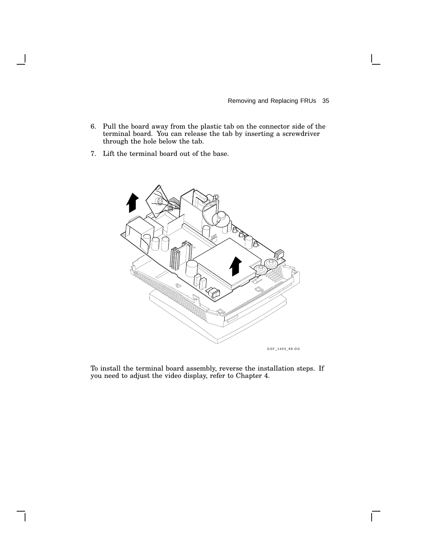$\Gamma$ 

- 6. Pull the board away from the plastic tab on the connector side of the terminal board. You can release the tab by inserting a screwdriver through the hole below the tab.
- 7. Lift the terminal board out of the base.



To install the terminal board assembly, reverse the installation steps. If you need to adjust the video display, refer to Chapter 4.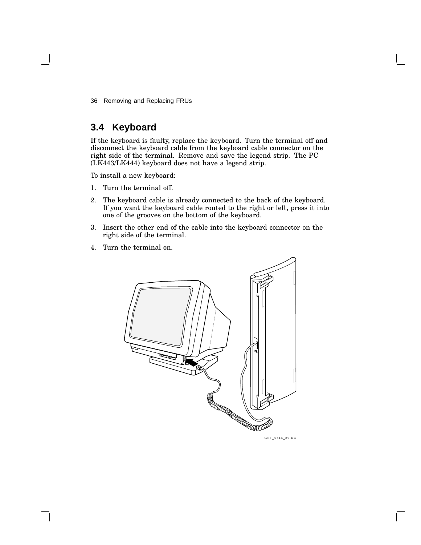# **3.4 Keyboard**

If the keyboard is faulty, replace the keyboard. Turn the terminal off and disconnect the keyboard cable from the keyboard cable connector on the right side of the terminal. Remove and save the legend strip. The PC (LK443/LK444) keyboard does not have a legend strip.

To install a new keyboard:

- 1. Turn the terminal off.
- 2. The keyboard cable is already connected to the back of the keyboard. If you want the keyboard cable routed to the right or left, press it into one of the grooves on the bottom of the keyboard.
- 3. Insert the other end of the cable into the keyboard connector on the right side of the terminal.
- 4. Turn the terminal on.

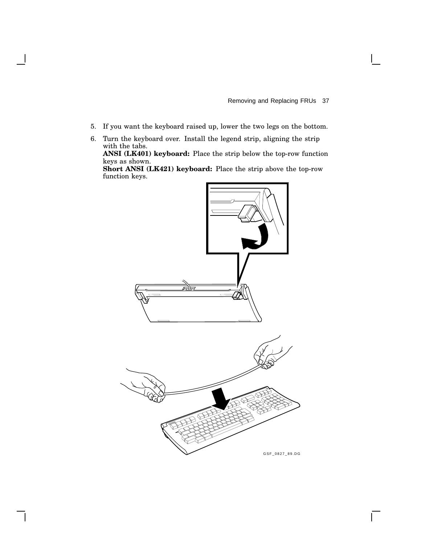$\mathsf{L}$ 

- 5. If you want the keyboard raised up, lower the two legs on the bottom.
- 6. Turn the keyboard over. Install the legend strip, aligning the strip with the tabs. **ANSI (LK401) keyboard:** Place the strip below the top-row function keys as shown. **Short ANSI (LK421) keyboard:** Place the strip above the top-row function keys.

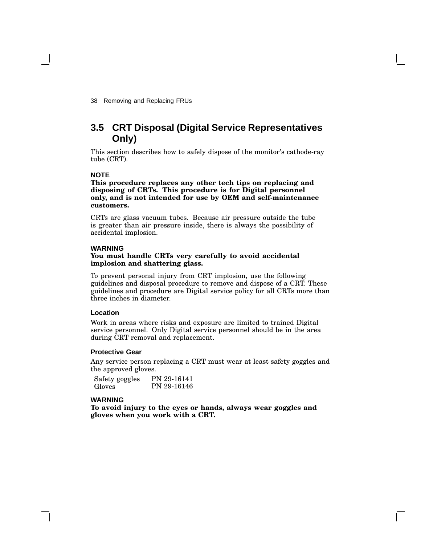# **3.5 CRT Disposal (Digital Service Representatives Only)**

This section describes how to safely dispose of the monitor's cathode-ray tube (CRT).

#### **NOTE**

**This procedure replaces any other tech tips on replacing and disposing of CRTs. This procedure is for Digital personnel only, and is not intended for use by OEM and self-maintenance customers.**

CRTs are glass vacuum tubes. Because air pressure outside the tube is greater than air pressure inside, there is always the possibility of accidental implosion.

#### **WARNING**

#### **You must handle CRTs very carefully to avoid accidental implosion and shattering glass.**

To prevent personal injury from CRT implosion, use the following guidelines and disposal procedure to remove and dispose of a CRT. These guidelines and procedure are Digital service policy for all CRTs more than three inches in diameter.

#### **Location**

Work in areas where risks and exposure are limited to trained Digital service personnel. Only Digital service personnel should be in the area during CRT removal and replacement.

#### **Protective Gear**

Any service person replacing a CRT must wear at least safety goggles and the approved gloves.

Safety goggles Gloves PN 29-16141 PN 29-16146

#### **WARNING**

**To avoid injury to the eyes or hands, always wear goggles and gloves when you work with a CRT.**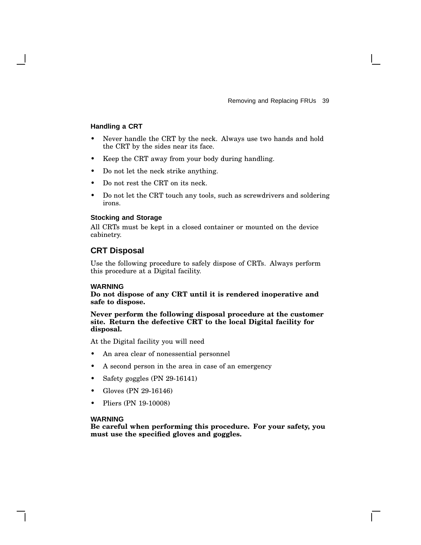#### **Handling a CRT**

- Never handle the CRT by the neck. Always use two hands and hold the CRT by the sides near its face.
- Keep the CRT away from your body during handling.
- Do not let the neck strike anything.
- Do not rest the CRT on its neck.
- Do not let the CRT touch any tools, such as screwdrivers and soldering irons.

#### **Stocking and Storage**

All CRTs must be kept in a closed container or mounted on the device cabinetry.

#### **CRT Disposal**

Use the following procedure to safely dispose of CRTs. Always perform this procedure at a Digital facility.

#### **WARNING**

**Do not dispose of any CRT until it is rendered inoperative and safe to dispose.**

**Never perform the following disposal procedure at the customer site. Return the defective CRT to the local Digital facility for disposal.**

At the Digital facility you will need

- An area clear of nonessential personnel
- A second person in the area in case of an emergency
- Safety goggles (PN 29-16141)
- Gloves (PN 29-16146)
- Pliers (PN 19-10008)

#### **WARNING**

**Be careful when performing this procedure. For your safety, you must use the specified gloves and goggles.**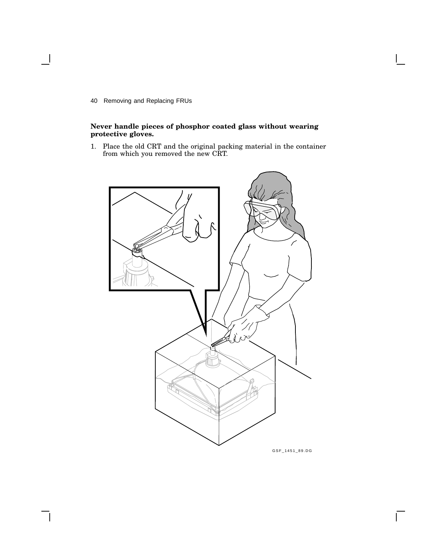#### **Never handle pieces of phosphor coated glass without wearing protective gloves.**

1. Place the old CRT and the original packing material in the container from which you removed the new CRT.



GSF\_1451\_89.DG

 $\mathsf{L}$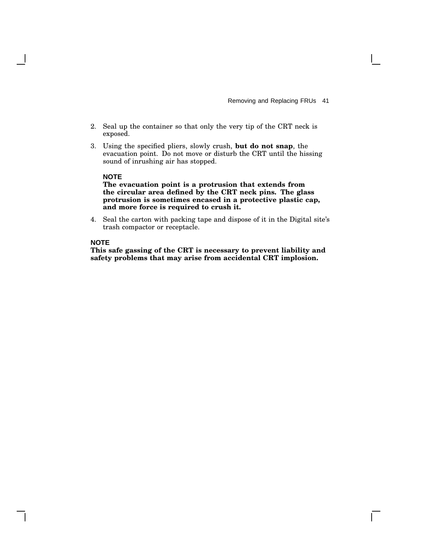- 2. Seal up the container so that only the very tip of the CRT neck is exposed.
- 3. Using the specified pliers, slowly crush, **but do not snap**, the evacuation point. Do not move or disturb the CRT until the hissing sound of inrushing air has stopped.

#### **NOTE**

**The evacuation point is a protrusion that extends from the circular area defined by the CRT neck pins. The glass protrusion is sometimes encased in a protective plastic cap, and more force is required to crush it.**

4. Seal the carton with packing tape and dispose of it in the Digital site's trash compactor or receptacle.

#### **NOTE**

**This safe gassing of the CRT is necessary to prevent liability and safety problems that may arise from accidental CRT implosion.**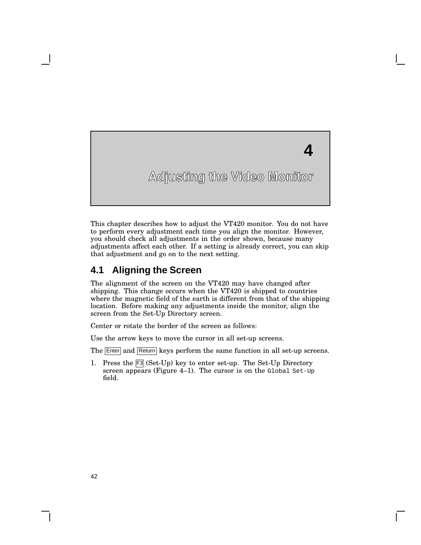**4**

This chapter describes how to adjust the VT420 monitor. You do not have to perform every adjustment each time you align the monitor. However, you should check all adjustments in the order shown, because many adjustments affect each other. If a setting is already correct, you can skip that adjustment and go on to the next setting.

### **4.1 Aligning the Screen**

The alignment of the screen on the VT420 may have changed after shipping. This change occurs when the VT420 is shipped to countries where the magnetic field of the earth is different from that of the shipping location. Before making any adjustments inside the monitor, align the screen from the Set-Up Directory screen.

Center or rotate the border of the screen as follows:

Use the arrow keys to move the cursor in all set-up screens.

The **Enter** and **Return** keys perform the same function in all set-up screens.

1. Press the F3 (Set-Up) key to enter set-up. The Set-Up Directory screen appears (Figure 4–1). The cursor is on the Global Set-Up field.

**4**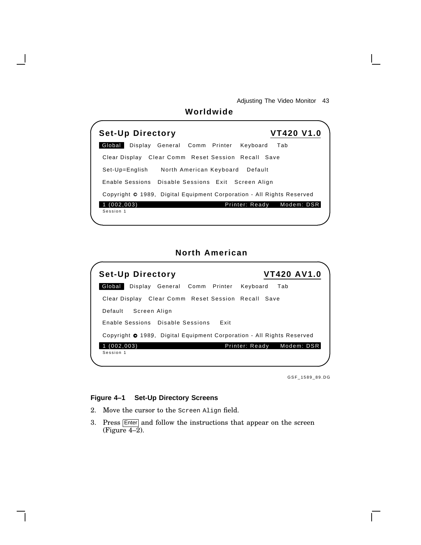| Worldwide                                                             |
|-----------------------------------------------------------------------|
| <b>VT420 V1.0</b><br><b>Set-Up Directory</b>                          |
| Global<br>Display General Comm Printer<br>Keyboard<br>Tab             |
| Clear Display Clear Comm Reset Session Recall Save                    |
| Set-Up=English<br>North American Keyboard Default                     |
| Enable Sessions Disable Sessions Exit Screen Align                    |
| Copyright © 1989, Digital Equipment Corporation - All Rights Reserved |
| Modem: DSR<br>Printer: Ready<br>(002, 003)<br>Session 1               |

# **North American**



GSF\_1589\_89.DG

#### **Figure 4–1 Set-Up Directory Screens**

- 2. Move the cursor to the Screen Align field.
- 3. Press Enter and follow the instructions that appear on the screen  $(Figure 4-2)$ .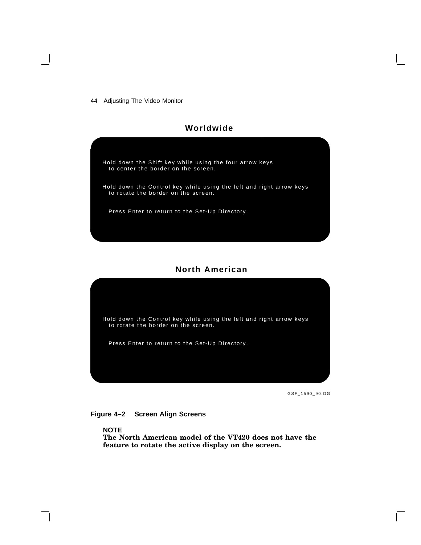#### **Worldwide**

Hold down the Shift key while using the four arrow keys to center the border on the screen. Hold down the Control key while using the left and right arrow keys to rotate the border on the screen.

Press Enter to return to the Set-Up Directory.

#### **North American**



GSF\_1590\_90.DG



**NOTE**

**The North American model of the VT420 does not have the feature to rotate the active display on the screen.**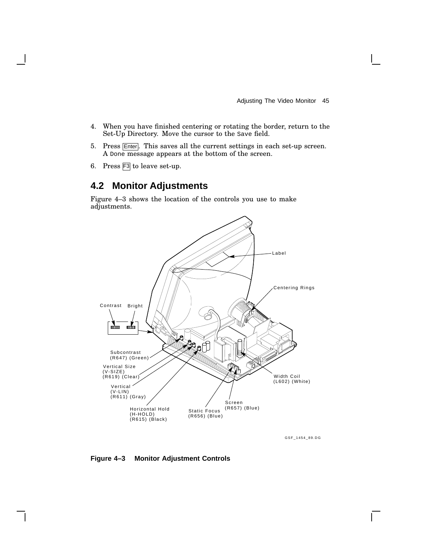- 4. When you have finished centering or rotating the border, return to the Set-Up Directory. Move the cursor to the Save field.
- 5. Press Enter. This saves all the current settings in each set-up screen. A Done message appears at the bottom of the screen.
- 6. Press F3 to leave set-up.

# **4.2 Monitor Adjustments**

Figure 4–3 shows the location of the controls you use to make adjustments.



GSF\_1454\_89.DG

#### **Figure 4–3 Monitor Adjustment Controls**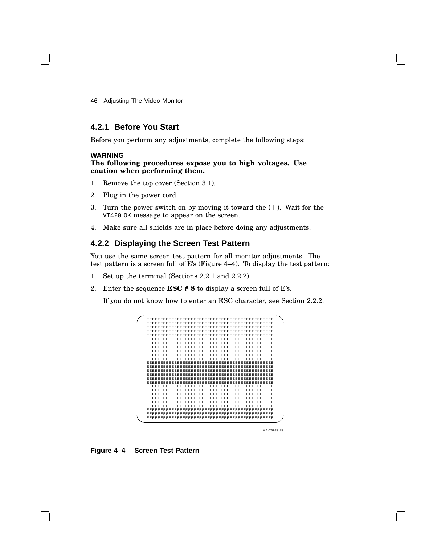#### **4.2.1 Before You Start**

Before you perform any adjustments, complete the following steps:

#### **WARNING**

#### **The following procedures expose you to high voltages. Use caution when performing them.**

- 1. Remove the top cover (Section 3.1).
- 2. Plug in the power cord.
- 3. Turn the power switch on by moving it toward the ( **|** ). Wait for the VT420 OK message to appear on the screen.
- 4. Make sure all shields are in place before doing any adjustments.

#### **4.2.2 Displaying the Screen Test Pattern**

You use the same screen test pattern for all monitor adjustments. The test pattern is a screen full of E's (Figure 4–4). To display the test pattern:

- 1. Set up the terminal (Sections 2.2.1 and 2.2.2).
- 2. Enter the sequence **ESC # 8** to display a screen full of E's.

If you do not know how to enter an ESC character, see Section 2.2.2.



MA-X0938-88

#### **Figure 4–4 Screen Test Pattern**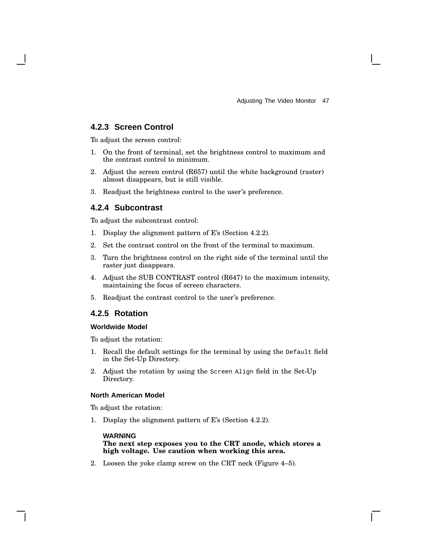#### **4.2.3 Screen Control**

To adjust the screen control:

- 1. On the front of terminal, set the brightness control to maximum and the contrast control to minimum.
- 2. Adjust the screen control (R657) until the white background (raster) almost disappears, but is still visible.
- 3. Readjust the brightness control to the user's preference.

#### **4.2.4 Subcontrast**

To adjust the subcontrast control:

- 1. Display the alignment pattern of E's (Section 4.2.2).
- 2. Set the contrast control on the front of the terminal to maximum.
- 3. Turn the brightness control on the right side of the terminal until the raster just disappears.
- 4. Adjust the SUB CONTRAST control (R647) to the maximum intensity, maintaining the focus of screen characters.
- 5. Readjust the contrast control to the user's preference.

#### **4.2.5 Rotation**

#### **Worldwide Model**

To adjust the rotation:

- 1. Recall the default settings for the terminal by using the Default field in the Set-Up Directory.
- 2. Adjust the rotation by using the Screen Align field in the Set-Up Directory.

#### **North American Model**

To adjust the rotation:

1. Display the alignment pattern of E's (Section 4.2.2).

#### **WARNING**

#### **The next step exposes you to the CRT anode, which stores a high voltage. Use caution when working this area.**

2. Loosen the yoke clamp screw on the CRT neck (Figure 4–5).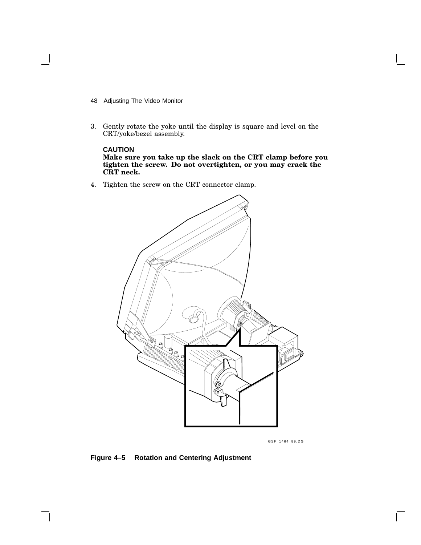- 48 Adjusting The Video Monitor
- 3. Gently rotate the yoke until the display is square and level on the CRT/yoke/bezel assembly.

# **CAUTION**

**Make sure you take up the slack on the CRT clamp before you tighten the screw. Do not overtighten, or you may crack the CRT neck.**

4. Tighten the screw on the CRT connector clamp.



GSF\_1464\_89.DG

#### **Figure 4–5 Rotation and Centering Adjustment**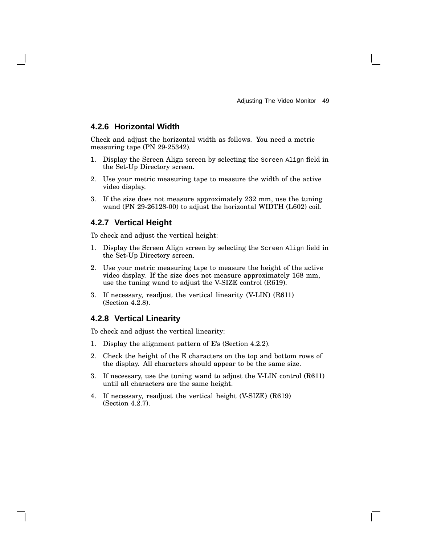#### **4.2.6 Horizontal Width**

Check and adjust the horizontal width as follows. You need a metric measuring tape (PN 29-25342).

- 1. Display the Screen Align screen by selecting the Screen Align field in the Set-Up Directory screen.
- 2. Use your metric measuring tape to measure the width of the active video display.
- 3. If the size does not measure approximately 232 mm, use the tuning wand (PN 29-26128-00) to adjust the horizontal WIDTH (L602) coil.

#### **4.2.7 Vertical Height**

To check and adjust the vertical height:

- 1. Display the Screen Align screen by selecting the Screen Align field in the Set-Up Directory screen.
- 2. Use your metric measuring tape to measure the height of the active video display. If the size does not measure approximately 168 mm, use the tuning wand to adjust the V-SIZE control (R619).
- 3. If necessary, readjust the vertical linearity (V-LIN) (R611) (Section 4.2.8).

#### **4.2.8 Vertical Linearity**

To check and adjust the vertical linearity:

- 1. Display the alignment pattern of E's (Section 4.2.2).
- 2. Check the height of the E characters on the top and bottom rows of the display. All characters should appear to be the same size.
- 3. If necessary, use the tuning wand to adjust the V-LIN control (R611) until all characters are the same height.
- 4. If necessary, readjust the vertical height (V-SIZE) (R619) (Section 4.2.7).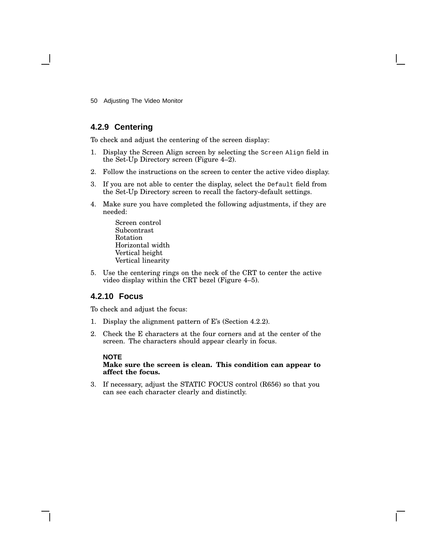### **4.2.9 Centering**

To check and adjust the centering of the screen display:

- 1. Display the Screen Align screen by selecting the Screen Align field in the Set-Up Directory screen (Figure 4–2).
- 2. Follow the instructions on the screen to center the active video display.
- 3. If you are not able to center the display, select the Default field from the Set-Up Directory screen to recall the factory-default settings.
- 4. Make sure you have completed the following adjustments, if they are needed:
	- Screen control Subcontrast Rotation Horizontal width Vertical height Vertical linearity
- 5. Use the centering rings on the neck of the CRT to center the active video display within the CRT bezel (Figure 4–5).

#### **4.2.10 Focus**

To check and adjust the focus:

- 1. Display the alignment pattern of E's (Section 4.2.2).
- 2. Check the E characters at the four corners and at the center of the screen. The characters should appear clearly in focus.

#### **NOTE**

**Make sure the screen is clean. This condition can appear to affect the focus.**

3. If necessary, adjust the STATIC FOCUS control (R656) so that you can see each character clearly and distinctly.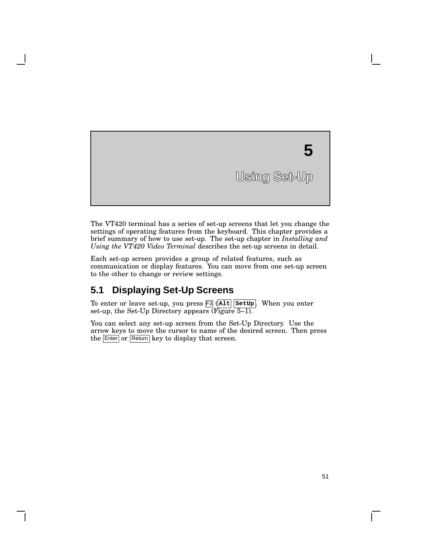# **Using Set-Up 5**

The VT420 terminal has a series of set-up screens that let you change the settings of operating features from the keyboard. This chapter provides a brief summary of how to use set-up. The set-up chapter in *Installing and Using the VT420 Video Terminal* describes the set-up screens in detail.

Each set-up screen provides a group of related features, such as communication or display features. You can move from one set-up screen to the other to change or review settings.

# **5.1 Displaying Set-Up Screens**

To enter or leave set-up, you press F3 ( **Alt SetUp** . When you enter set-up, the Set-Up Directory appears (Figure 5–1).

You can select any set-up screen from the Set-Up Directory. Use the arrow keys to move the cursor to name of the desired screen. Then press the **Enter** or **Return** key to display that screen.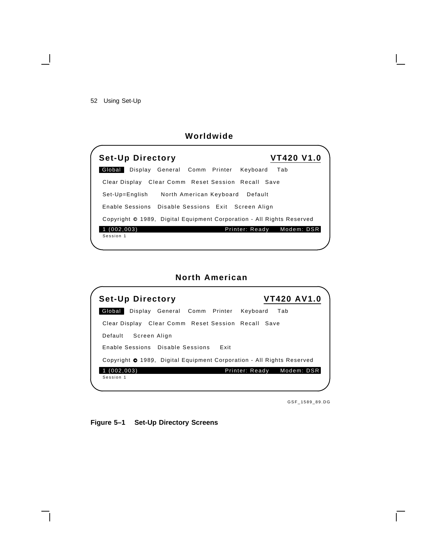52 Using Set-Up

 $\blacksquare$ 

# **Worldwide**

| <b>Set-Up Directory</b>                                               | <b>VT420 V1.0</b> |
|-----------------------------------------------------------------------|-------------------|
| Global  <br>Display General Comm Printer<br>Keyboard                  | Tab               |
| Clear Display Clear Comm Reset Session Recall Save                    |                   |
| Set-Up=English North American Keyboard Default                        |                   |
| Enable Sessions Disable Sessions Exit Screen Align                    |                   |
| Copyright © 1989, Digital Equipment Corporation - All Rights Reserved |                   |
| (002, 003)<br>Printer: Ready<br>Session 1                             | Modem: DSR        |
|                                                                       |                   |

# **North American**

| <b>Set-Up Directory</b>                                                      | <b>VT420 AV1.0</b> |
|------------------------------------------------------------------------------|--------------------|
| Global<br>Display General Comm Printer<br>Keyboard                           | Tab                |
| Clear Display Clear Comm Reset Session Recall Save                           |                    |
| Default<br>Screen Align                                                      |                    |
| Enable Sessions Disable Sessions Exit                                        |                    |
| Copyright <b>O</b> 1989, Digital Equipment Corporation - All Rights Reserved |                    |
| (002, 003)<br>Printer: Ready                                                 | Modem: DSR         |
| Session 1                                                                    |                    |

GSF\_1589\_89.DG

 $\overline{\Gamma}$ 

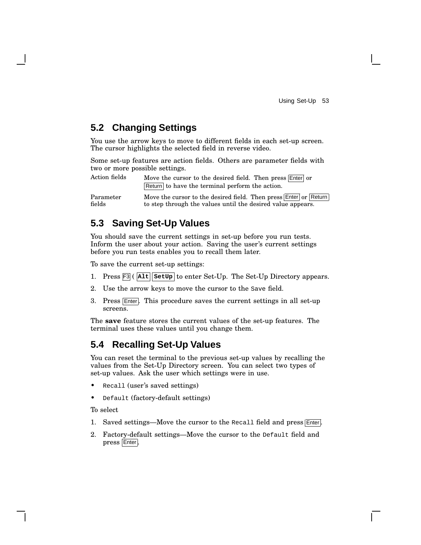# **5.2 Changing Settings**

You use the arrow keys to move to different fields in each set-up screen. The cursor highlights the selected field in reverse video.

Some set-up features are action fields. Others are parameter fields with two or more possible settings.

Action fields Move the cursor to the desired field. Then press Enter or Return to have the terminal perform the action.

Parameter fields Move the cursor to the desired field. Then press Enter or Return to step through the values until the desired value appears.

## **5.3 Saving Set-Up Values**

You should save the current settings in set-up before you run tests. Inform the user about your action. Saving the user's current settings before you run tests enables you to recall them later.

To save the current set-up settings:

- 1. Press F3 ( **Alt SetUp** to enter Set-Up. The Set-Up Directory appears.
- 2. Use the arrow keys to move the cursor to the Save field.
- 3. Press Enter. This procedure saves the current settings in all set-up screens.

The **save** feature stores the current values of the set-up features. The terminal uses these values until you change them.

# **5.4 Recalling Set-Up Values**

You can reset the terminal to the previous set-up values by recalling the values from the Set-Up Directory screen. You can select two types of set-up values. Ask the user which settings were in use.

- Recall (user's saved settings)
- Default (factory-default settings)

To select

- 1. Saved settings—Move the cursor to the Recall field and press Enter.
- 2. Factory-default settings—Move the cursor to the Default field and press Enter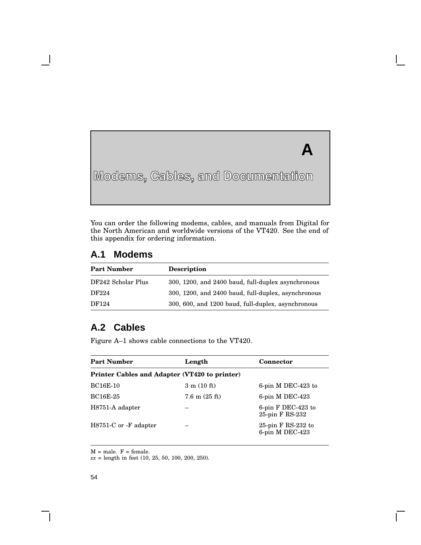# **A**

**Modems, Cables, and Documentation**

You can order the following modems, cables, and manuals from Digital for the North American and worldwide versions of the VT420. See the end of this appendix for ordering information.

# **A.1 Modems**

**A**

| <b>Part Number</b> | <b>Description</b>                                  |
|--------------------|-----------------------------------------------------|
| DF242 Scholar Plus | 300, 1200, and 2400 baud, full-duplex asynchronous  |
| DF224              | 300, 1200, and 2400 baud, full-duplex, asynchronous |
| DF124              | 300, 600, and 1200 baud, full-duplex, asynchronous  |

# **A.2 Cables**

Figure A–1 shows cable connections to the VT420.

| <b>Part Number</b>                            | Length                          | <b>Connector</b>                        |  |
|-----------------------------------------------|---------------------------------|-----------------------------------------|--|
| Printer Cables and Adapter (VT420 to printer) |                                 |                                         |  |
| <b>BC16E-10</b>                               | $3 \text{ m} (10 \text{ ft})$   | 6-pin $M$ DEC-423 to                    |  |
| <b>BC16E-25</b>                               | $7.6 \text{ m} (25 \text{ ft})$ | $6$ -pin M DEC-423                      |  |
| H8751-A adapter                               |                                 | 6-pin $F$ DEC-423 to<br>25-pin F RS-232 |  |
| H8751-C or -F adapter                         |                                 | 25-pin $F$ RS-232 to<br>6-pin M DEC-423 |  |

 $M =$  male.  $F =$  female.

*xx* = length in feet (10, 25, 50, 100, 200, 250).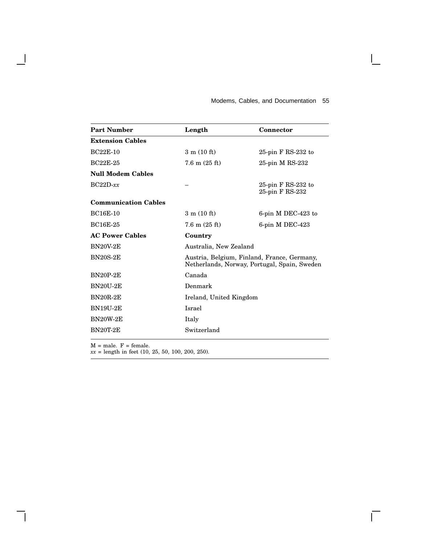#### Modems, Cables, and Documentation 55

 $\mathsf{I}$ 

 $\overline{\Gamma}$ 

| <b>Part Number</b>          | Length                        | <b>Connector</b>                                                                            |
|-----------------------------|-------------------------------|---------------------------------------------------------------------------------------------|
| <b>Extension Cables</b>     |                               |                                                                                             |
| <b>BC22E-10</b>             | $3 \text{ m} (10 \text{ ft})$ | 25-pin $F$ RS-232 to                                                                        |
| <b>BC22E-25</b>             | $7.6 \text{ m}$ (25 ft)       | $25$ -pin M RS- $232$                                                                       |
| <b>Null Modem Cables</b>    |                               |                                                                                             |
| $BC22D$ - $xx$              |                               | 25-pin F RS-232 to<br>25-pin F RS-232                                                       |
| <b>Communication Cables</b> |                               |                                                                                             |
| <b>BC16E-10</b>             | $3 \text{ m} (10 \text{ ft})$ | 6-pin $M$ DEC-423 to                                                                        |
| <b>BC16E-25</b>             | $7.6 \text{ m}$ (25 ft)       | $6$ -pin M DEC-423                                                                          |
| <b>AC Power Cables</b>      | Country                       |                                                                                             |
| <b>BN20V-2E</b>             | Australia, New Zealand        |                                                                                             |
| <b>BN20S-2E</b>             |                               | Austria, Belgium, Finland, France, Germany,<br>Netherlands, Norway, Portugal, Spain, Sweden |
| <b>BN20P-2E</b>             | Canada                        |                                                                                             |
| <b>BN20U-2E</b>             | Denmark                       |                                                                                             |
| <b>BN20R-2E</b>             | Ireland, United Kingdom       |                                                                                             |
| <b>BN19U-2E</b>             | <b>Israel</b>                 |                                                                                             |
| <b>BN20W-2E</b>             | Italy                         |                                                                                             |
| <b>BN20T-2E</b>             | Switzerland                   |                                                                                             |
|                             |                               |                                                                                             |

 $M = male.$   $F = female.$ 

 $\overline{\phantom{a}}$ 

 $\mathsf{l}$ 

*xx* = length in feet (10, 25, 50, 100, 200, 250).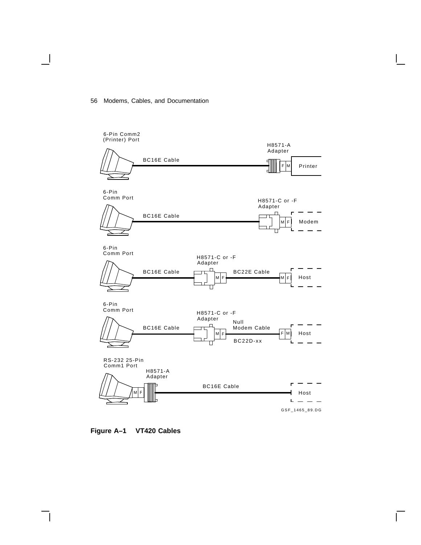#### 56 Modems, Cables, and Documentation



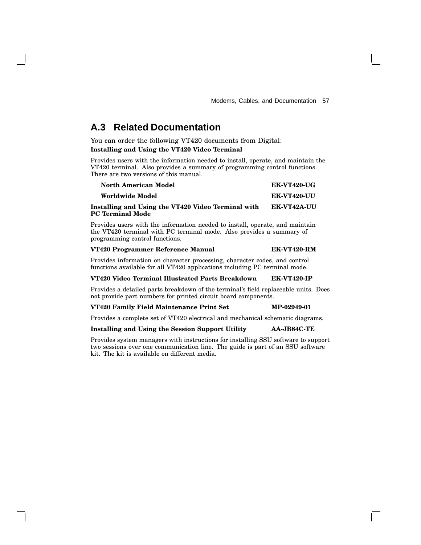# **A.3 Related Documentation**

You can order the following VT420 documents from Digital: **Installing and Using the VT420 Video Terminal**

Provides users with the information needed to install, operate, and maintain the VT420 terminal. Also provides a summary of programming control functions. There are two versions of this manual.

| <b>North American Model</b>                                            | <b>EK-VT420-UG</b> |
|------------------------------------------------------------------------|--------------------|
| Worldwide Model                                                        | EK-VT420-UU        |
| Installing and Using the VT420 Video Terminal with<br>PC Terminal Mode | <b>EK-VT42A-UU</b> |

Provides users with the information needed to install, operate, and maintain the VT420 terminal with PC terminal mode. Also provides a summary of programming control functions.

#### **VT420 Programmer Reference Manual EK-VT420-RM**

Provides information on character processing, character codes, and control functions available for all VT420 applications including PC terminal mode.

#### **VT420 Video Terminal Illustrated Parts Breakdown EK-VT420-IP**

Provides a detailed parts breakdown of the terminal's field replaceable units. Does not provide part numbers for printed circuit board components.

#### **VT420 Family Field Maintenance Print Set MP-02949-01**

Provides a complete set of VT420 electrical and mechanical schematic diagrams.

#### **Installing and Using the Session Support Utility AA-JB84C-TE**

Provides system managers with instructions for installing SSU software to support two sessions over one communication line. The guide is part of an SSU software kit. The kit is available on different media.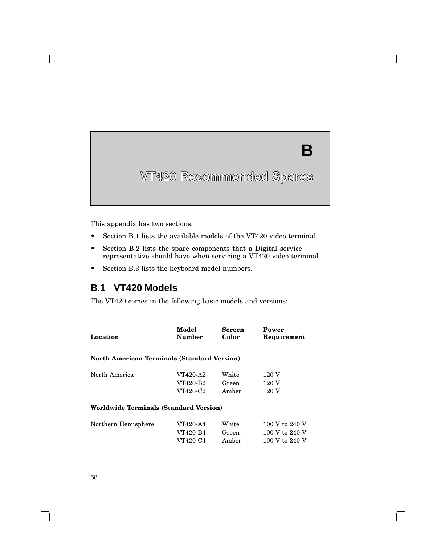# **B**

# **VT420 Recommended Spares**

This appendix has two sections.

**B**

- Section B.1 lists the available models of the VT420 video terminal.
- Section B.2 lists the spare components that a Digital service representative should have when servicing a VT420 video terminal.
- Section B.3 lists the keyboard model numbers.

## **B.1 VT420 Models**

The VT420 comes in the following basic models and versions:

| Location                                           | Model     | <b>Screen</b> | Power          |
|----------------------------------------------------|-----------|---------------|----------------|
|                                                    | Number    | Color         | Requirement    |
| <b>North American Terminals (Standard Version)</b> |           |               |                |
| North America                                      | VT420-A2  | White         | 120 V          |
|                                                    | VT420-B2  | Green         | 120 V          |
|                                                    | VT420-C2- | Amber         | 120 V          |
| <b>Worldwide Terminals (Standard Version)</b>      |           |               |                |
| Northern Hemisphere                                | VT420-A4  | White         | 100 V to 240 V |
|                                                    | VT420-B4  | Green         | 100 V to 240 V |
|                                                    | VT420-C4  | Amber         | 100 V to 240 V |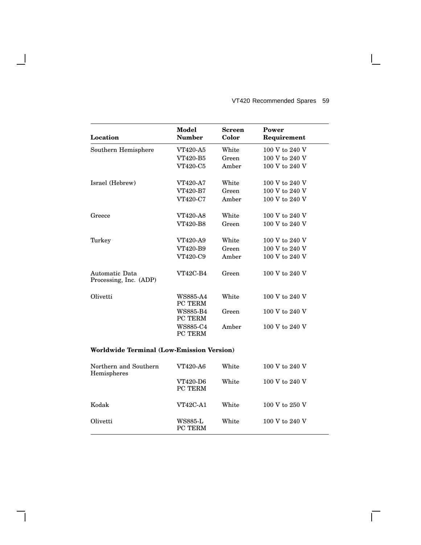|                                                  | Model                      | <b>Screen</b> | Power          |
|--------------------------------------------------|----------------------------|---------------|----------------|
| Location                                         | <b>Number</b>              | Color         | Requirement    |
| Southern Hemisphere                              | VT420-A5                   | White         | 100 V to 240 V |
|                                                  | VT420-B5                   | Green         | 100 V to 240 V |
|                                                  | VT420-C5                   | Amber         | 100 V to 240 V |
| Israel (Hebrew)                                  | <b>VT420-A7</b>            | White         | 100 V to 240 V |
|                                                  | VT420-B7                   | Green         | 100 V to 240 V |
|                                                  | VT420-C7                   | Amber         | 100 V to 240 V |
| Greece                                           | <b>VT420-A8</b>            | White         | 100 V to 240 V |
|                                                  | VT420-B8                   | Green         | 100 V to 240 V |
| Turkey                                           | VT420-A9                   | White         | 100 V to 240 V |
|                                                  | VT420-B9                   | Green         | 100 V to 240 V |
|                                                  | VT420-C9                   | Amber         | 100 V to 240 V |
| Automatic Data<br>Processing, Inc. (ADP)         | <b>VT42C-B4</b>            | Green         | 100 V to 240 V |
| Olivetti                                         | <b>WS885-A4</b><br>PC TERM | White         | 100 V to 240 V |
|                                                  | <b>WS885-B4</b><br>PC TERM | Green         | 100 V to 240 V |
|                                                  | WS885-C4<br>PC TERM        | Amber         | 100 V to 240 V |
| <b>Worldwide Terminal (Low-Emission Version)</b> |                            |               |                |
| Northern and Southern<br>Hemispheres             | VT420-A6                   | White         | 100 V to 240 V |
|                                                  |                            | <b>TTTT</b>   | $\cdots$       |

H

#### VT420 Recommended Spares 59

 $\overline{\Gamma}$ 

| Worldwide Terminal (Low-Emission Version) |                            |       |                |  |
|-------------------------------------------|----------------------------|-------|----------------|--|
| Northern and Southern<br>Hemispheres      | VT420-A6                   | White | 100 V to 240 V |  |
|                                           | VT420-D6<br><b>PC TERM</b> | White | 100 V to 240 V |  |
| Kodak                                     | <b>VT42C-A1</b>            | White | 100 V to 250 V |  |
| Olivetti                                  | WS885-L<br>PC TERM         | White | 100 V to 240 V |  |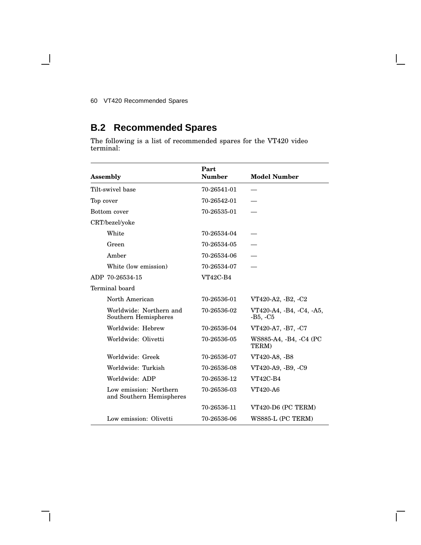#### 60 VT420 Recommended Spares

 $\blacksquare$ 

# **B.2 Recommended Spares**

The following is a list of recommended spares for the VT420 video terminal:

|           | Assembly                                           | Part<br><b>Number</b> | <b>Model Number</b>                    |
|-----------|----------------------------------------------------|-----------------------|----------------------------------------|
|           | Tilt-swivel base                                   | 70-26541-01           |                                        |
| Top cover |                                                    | 70-26542-01           |                                        |
|           | Bottom cover                                       | 70-26535-01           |                                        |
|           | CRT/bezel/yoke                                     |                       |                                        |
|           | White                                              | 70-26534-04           |                                        |
|           | Green                                              | 70-26534-05           |                                        |
|           | Amber                                              | 70-26534-06           |                                        |
|           | White (low emission)                               | 70-26534-07           |                                        |
|           | ADP 70-26534-15                                    | <b>VT42C-B4</b>       |                                        |
|           | Terminal board                                     |                       |                                        |
|           | North American                                     | 70-26536-01           | VT420-A2, -B2, -C2                     |
|           | Worldwide: Northern and<br>Southern Hemispheres    | 70-26536-02           | VT420-A4, -B4, -C4, -A5,<br>-B5, $-C5$ |
|           | Worldwide: Hebrew                                  | 70-26536-04           | VT420-A7, -B7, -C7                     |
|           | Worldwide: Olivetti                                | 70-26536-05           | WS885-A4, -B4, -C4 (PC<br>TERM)        |
|           | Worldwide: Greek                                   | 70-26536-07           | VT420-A8, -B8                          |
|           | Worldwide: Turkish                                 | 70-26536-08           | VT420-A9, -B9, -C9                     |
|           | Worldwide: ADP                                     | 70-26536-12           | <b>VT42C-B4</b>                        |
|           | Low emission: Northern<br>and Southern Hemispheres | 70-26536-03           | VT420-A6                               |
|           |                                                    | 70-26536-11           | VT420-D6 (PC TERM)                     |
|           | Low emission: Olivetti                             | 70-26536-06           | WS885-L (PC TERM)                      |

Г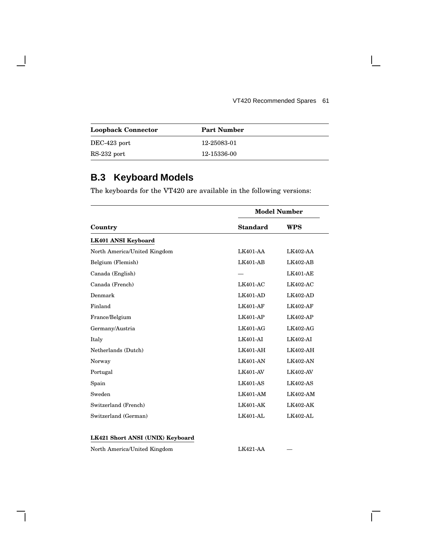$\mathsf{I}$ 

 $\overline{\Gamma}$ 

| <b>Loopback Connector</b> | <b>Part Number</b> |  |
|---------------------------|--------------------|--|
| DEC-423 port              | 12-25083-01        |  |
| $RS-232$ port             | 12-15336-00        |  |

# **B.3 Keyboard Models**

H

The keyboards for the VT420 are available in the following versions:

|                                  | <b>Model Number</b> |                 |
|----------------------------------|---------------------|-----------------|
| Country                          | <b>Standard</b>     | WPS             |
| LK401 ANSI Keyboard              |                     |                 |
| North America/United Kingdom     | $LK401-AA$          | LK402-AA        |
| Belgium (Flemish)                | $LK401-AB$          | $LK402-AB$      |
| Canada (English)                 |                     | $LK401-AE$      |
| Canada (French)                  | $LK401-AC$          | $LK402-AC$      |
| Denmark                          | LK401-AD            | $LK402-AD$      |
| Finland                          | $LK401-AF$          | $LK402-AF$      |
| France/Belgium                   | $LK401-AP$          | LK402-AP        |
| Germany/Austria                  | $LK401-AG$          | <b>LK402-AG</b> |
| Italy                            | <b>LK401-AI</b>     | LK402-AI        |
| Netherlands (Dutch)              | LK401-AH            | LK402-AH        |
| Norway                           | <b>LK401-AN</b>     | <b>LK402-AN</b> |
| Portugal                         | <b>LK401-AV</b>     | <b>LK402-AV</b> |
| Spain                            | $LK401-AS$          | $LK402-AS$      |
| Sweden                           | $LK401-AM$          | <b>LK402-AM</b> |
| Switzerland (French)             | <b>LK401-AK</b>     | LK402-AK        |
| Switzerland (German)             | LK401-AL            | $LK402 - AL$    |
| LK421 Short ANSI (UNIX) Keyboard |                     |                 |

North America/United Kingdom LK421-AA —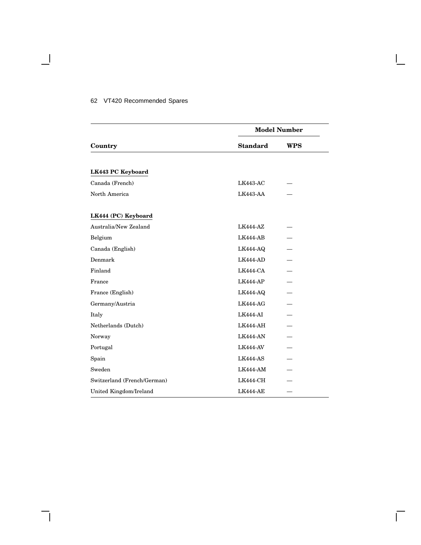#### 62 VT420 Recommended Spares

 $\blacksquare$ 

|                             | <b>Model Number</b> |            |
|-----------------------------|---------------------|------------|
| Country                     | <b>Standard</b>     | <b>WPS</b> |
|                             |                     |            |
| LK443 PC Keyboard           |                     |            |
| Canada (French)             | <b>LK443-AC</b>     |            |
| North America               | <b>LK443-AA</b>     |            |
| LK444 (PC) Keyboard         |                     |            |
| Australia/New Zealand       | <b>LK444-AZ</b>     |            |
| Belgium                     | LK444-AB            |            |
| Canada (English)            | LK444-AQ            |            |
| Denmark                     | LK444-AD            |            |
| Finland                     | LK444-CA            |            |
| France                      | LK444-AP            |            |
| France (English)            | <b>LK444-AQ</b>     |            |
| Germany/Austria             | LK444-AG            |            |
| Italy                       | LK444-AI            |            |
| Netherlands (Dutch)         | LK444-AH            |            |
| Norway                      | <b>LK444-AN</b>     |            |
| Portugal                    | <b>LK444-AV</b>     |            |
| Spain                       | LK444-AS            |            |
| Sweden                      | LK444-AM            |            |
| Switzerland (French/German) | <b>LK444-CH</b>     |            |
| United Kingdom/Ireland      | <b>LK444-AE</b>     |            |

Ē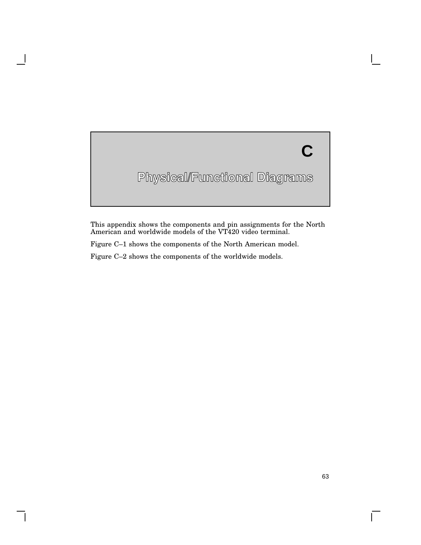# **Physical/Functional Diagrams C**

This appendix shows the components and pin assignments for the North American and worldwide models of the VT420 video terminal.

Figure C–1 shows the components of the North American model.

Figure C–2 shows the components of the worldwide models.

 $\mathsf{L}$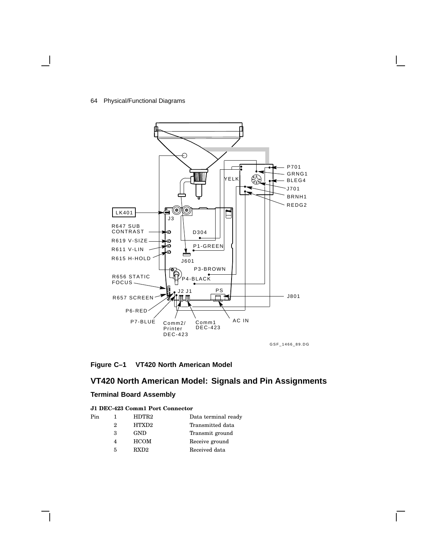#### 64 Physical/Functional Diagrams



#### **Figure C–1 VT420 North American Model**

# **VT420 North American Model: Signals and Pin Assignments**

#### **Terminal Board Assembly**

#### **J1 DEC-423 Comm1 Port Connector**

| Pin |   | HDTR <sub>2</sub> | Data terminal ready |
|-----|---|-------------------|---------------------|
|     | 2 | HTXD <sub>2</sub> | Transmitted data    |
|     | з | <b>GND</b>        | Transmit ground     |
|     | 4 | <b>HCOM</b>       | Receive ground      |
|     | 5 | RXD2              | Received data       |
|     |   |                   |                     |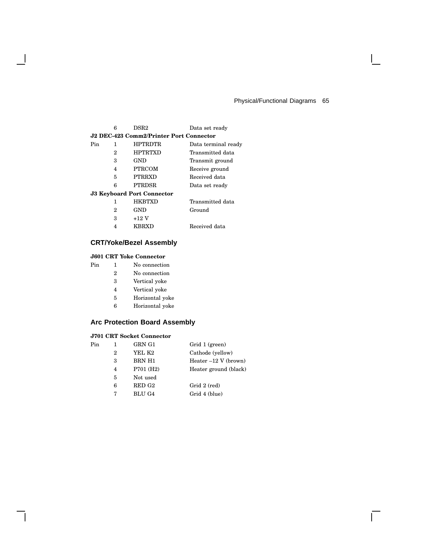$\mathbf{I}$ 

|     | 6 | DSR <sub>2</sub>                        | Data set ready      |
|-----|---|-----------------------------------------|---------------------|
|     |   | J2 DEC-423 Comm2/Printer Port Connector |                     |
| Pin | 1 | <b>HPTRDTR</b>                          | Data terminal ready |
|     | 2 | <b>HPTRTXD</b>                          | Transmitted data    |
|     | 3 | GND                                     | Transmit ground     |
|     | 4 | <b>PTRCOM</b>                           | Receive ground      |
|     | 5 | <b>PTRRXD</b>                           | Received data       |
|     | 6 | <b>PTRDSR</b>                           | Data set ready      |
|     |   | <b>J3 Keyboard Port Connector</b>       |                     |
|     | 1 | <b>HKRTXD</b>                           | Transmitted data    |
|     | 2 | <b>GND</b>                              | Ground              |
|     | з | $+12$ V                                 |                     |
|     | 4 | KBRXD                                   | Received data       |
|     |   |                                         |                     |

# **CRT/Yoke/Bezel Assembly**

### **J601 CRT Yoke Connector**

 $\mathbf l$ 

- Pin 1 No connection
	- No connection
	- Vertical yoke
	- Vertical yoke
	-
	- Horizontal yoke Horizontal yoke
	-

## **Arc Protection Board Assembly**

#### **J701 CRT Socket Connector**

| Pin |   | GRN G1                 | Grid 1 (green)         |
|-----|---|------------------------|------------------------|
|     | 2 | YEL K2                 | Cathode (yellow)       |
|     | 3 | BRN H1                 | Heater $-12$ V (brown) |
|     | 4 | P701 (H <sub>2</sub> ) | Heater ground (black)  |
|     | 5 | Not used               |                        |
|     | 6 | RED G2                 | Grid 2 (red)           |
|     |   | BLU G4                 | Grid 4 (blue)          |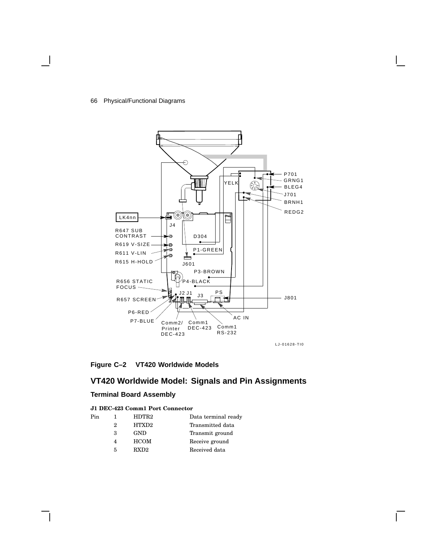

#### **Figure C–2 VT420 Worldwide Models**

# **VT420 Worldwide Model: Signals and Pin Assignments**

#### **Terminal Board Assembly**

#### **J1 DEC-423 Comm1 Port Connector**

| Pin |   | HDTR <sub>2</sub> | Data terminal ready |
|-----|---|-------------------|---------------------|
|     | 2 | HTXD <sub>2</sub> | Transmitted data    |
|     | з | <b>GND</b>        | Transmit ground     |
|     | 4 | <b>HCOM</b>       | Receive ground      |
|     | 5 | RXD2              | Received data       |
|     |   |                   |                     |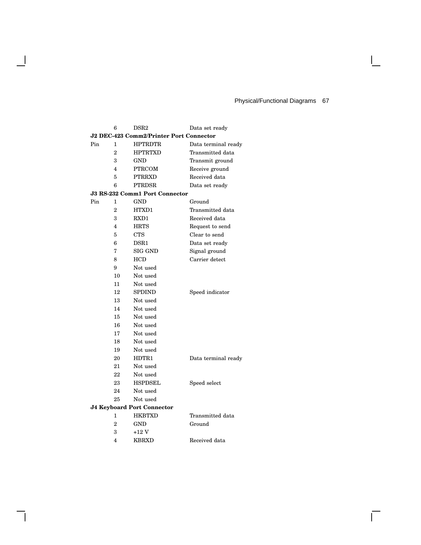$\mathbf{I}$ 

 $\overline{\Gamma}$ 

|     | 6              | $_{\rm{DSR2}}$                                 | Data set ready      |
|-----|----------------|------------------------------------------------|---------------------|
|     |                | <b>J2 DEC-423 Comm2/Printer Port Connector</b> |                     |
| Pin | 1              | <b>HPTRDTR</b>                                 | Data terminal ready |
|     | $\overline{2}$ | HPTRTXD                                        | Transmitted data    |
|     | 3              | GND                                            | Transmit ground     |
|     | 4              | <b>PTRCOM</b>                                  | Receive ground      |
|     | 5              | <b>PTRRXD</b>                                  | Received data       |
|     | 6              | <b>PTRDSR</b>                                  | Data set ready      |
|     |                | <b>J3 RS-232 Comm1 Port Connector</b>          |                     |
| Pin | 1              | GND                                            | Ground              |
|     | $\overline{2}$ | HTXD1                                          | Transmitted data    |
|     | 3              | RXD1                                           | Received data       |
|     | 4              | <b>HRTS</b>                                    | Request to send     |
|     | 5              | <b>CTS</b>                                     | Clear to send       |
|     | 6              | DSR1                                           | Data set ready      |
|     | 7              | SIG GND                                        | Signal ground       |
|     | 8              | <b>HCD</b>                                     | Carrier detect      |
|     | 9              | Not used                                       |                     |
|     | 10             | Not used                                       |                     |
|     | 11             | Not used                                       |                     |
|     | 12             | <b>SPDIND</b>                                  | Speed indicator     |
|     | 13             | Not used                                       |                     |
|     | 14             | Not used                                       |                     |
|     | 15             | Not used                                       |                     |
|     | 16             | Not used                                       |                     |
|     | 17             | Not used                                       |                     |
|     | 18             | Not used                                       |                     |
|     | 19             | Not used                                       |                     |
|     | 20             | HDTR1                                          | Data terminal ready |
|     | 21             | Not used                                       |                     |
|     | 22             | Not used                                       |                     |
|     | 23             | <b>HSPDSEL</b>                                 | Speed select        |
|     | 24             | Not used                                       |                     |
|     | 25             | Not used                                       |                     |
|     |                | <b>J4 Keyboard Port Connector</b>              |                     |
|     | 1              | <b>HKBTXD</b>                                  | Transmitted data    |
|     | $\overline{2}$ | <b>GND</b>                                     | Ground              |
|     | 3              | $+12V$                                         |                     |
|     | 4              | <b>KBRXD</b>                                   | Received data       |

 $\mathbf{I}$ 

 $\mathsf{l}$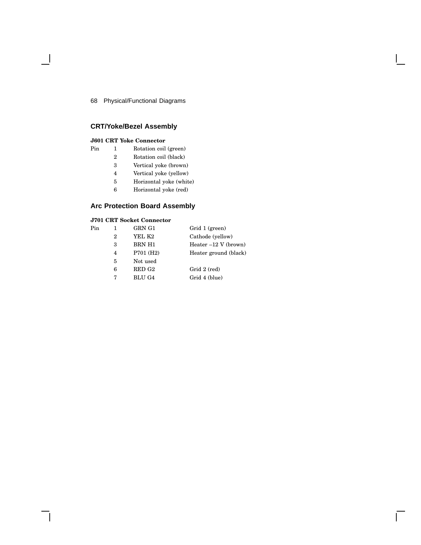## **CRT/Yoke/Bezel Assembly**

### **J601 CRT Yoke Connector**

- Pin 1 Rotation coil (green)
	- Rotation coil (black)
	- Vertical yoke (brown)
	- Vertical yoke (yellow)
	- Horizontal yoke (white)
	- Horizontal yoke (red)

## **Arc Protection Board Assembly**

# **J701 CRT Socket Connector**

| Pin |                | GRN G1                 | Grid 1 (green)         |
|-----|----------------|------------------------|------------------------|
|     | $\overline{2}$ | YEL K2                 | Cathode (yellow)       |
|     | 3              | BRN H1                 | Heater $-12$ V (brown) |
|     | 4              | P701 (H <sub>2</sub> ) | Heater ground (black)  |
|     | 5              | Not used               |                        |
|     | 6              | RED G <sub>2</sub>     | Grid 2 (red)           |
|     | 7              | <b>BLU G4</b>          | Grid 4 (blue)          |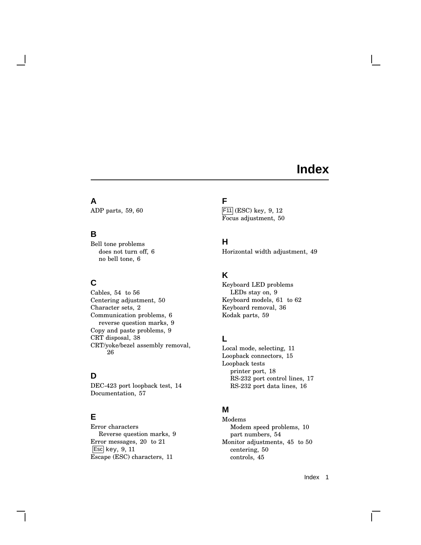# **Index**

# **A**

ADP parts, 59, 60

## **B**

Bell tone problems does not turn off, 6 no bell tone, 6

# **C**

Cables, 54 to 56 Centering adjustment, 50 Character sets, 2 Communication problems, 6 reverse question marks, 9 Copy and paste problems, 9 CRT disposal, 38 CRT/yoke/bezel assembly removal, 26

## **D**

DEC-423 port loopback test, 14 Documentation, 57

## **E**

Error characters Reverse question marks, 9 Error messages, 20 to 21 Esc key, 9, 11 Escape (ESC) characters, 11

# **F**

F11 (ESC) key, 9, 12 Focus adjustment, 50

# **H**

Horizontal width adjustment, 49

## **K**

Keyboard LED problems LEDs stay on, 9 Keyboard models, 61 to 62 Keyboard removal, 36 Kodak parts, 59

# **L**

Local mode, selecting, 11 Loopback connectors, 15 Loopback tests printer port, 18 RS-232 port control lines, 17 RS-232 port data lines, 16

# **M**

Modems Modem speed problems, 10 part numbers, 54 Monitor adjustments, 45 to 50 centering, 50 controls, 45

Index 1

 $\mathbf{I}$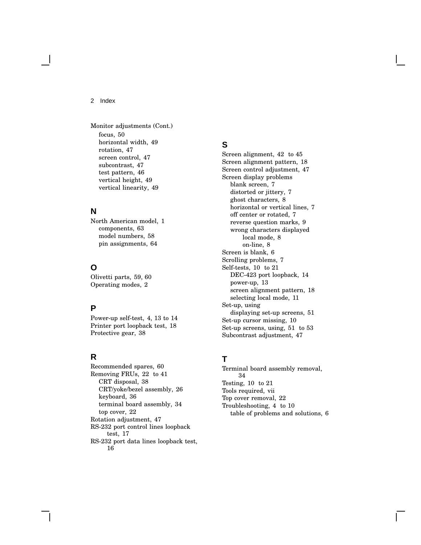2 Index

Monitor adjustments (Cont.) focus, 50 horizontal width, 49 rotation, 47 screen control, 47 subcontrast, 47 test pattern, 46 vertical height, 49 vertical linearity, 49

### **N**

North American model, 1 components, 63 model numbers, 58 pin assignments, 64

# **O**

Olivetti parts, 59, 60 Operating modes, 2

## **P**

Power-up self-test, 4, 13 to 14 Printer port loopback test, 18 Protective gear, 38

# **R**

Recommended spares, 60 Removing FRUs, 22 to 41 CRT disposal, 38 CRT/yoke/bezel assembly, 26 keyboard, 36 terminal board assembly, 34 top cover, 22 Rotation adjustment, 47 RS-232 port control lines loopback test, 17 RS-232 port data lines loopback test, 16

## **S**

Screen alignment, 42 to 45 Screen alignment pattern, 18 Screen control adjustment, 47 Screen display problems blank screen, 7 distorted or jittery, 7 ghost characters, 8 horizontal or vertical lines, 7 off center or rotated, 7 reverse question marks, 9 wrong characters displayed local mode, 8 on-line, 8 Screen is blank, 6 Scrolling problems, 7 Self-tests, 10 to 21 DEC-423 port loopback, 14 power-up, 13 screen alignment pattern, 18 selecting local mode, 11 Set-up, using displaying set-up screens, 51 Set-up cursor missing, 10 Set-up screens, using, 51 to 53 Subcontrast adjustment, 47

# **T**

Terminal board assembly removal, 34 Testing, 10 to 21 Tools required, vii Top cover removal, 22 Troubleshooting, 4 to 10 table of problems and solutions, 6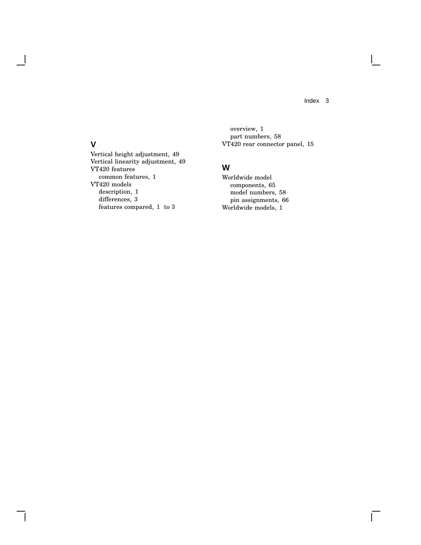Index 3

 $\overline{\Gamma}$ 

overview, 1 part numbers, 58 VT420 rear connector panel, 15

# **W**

Worldwide model components, 65 model numbers, 58 pin assignments, 66 Worldwide models, 1

# **V**

Vertical height adjustment, 49 Vertical linearity adjustment, 49 VT420 features common features, 1 VT420 models description, 1 differences, 3 features compared, 1 to 3